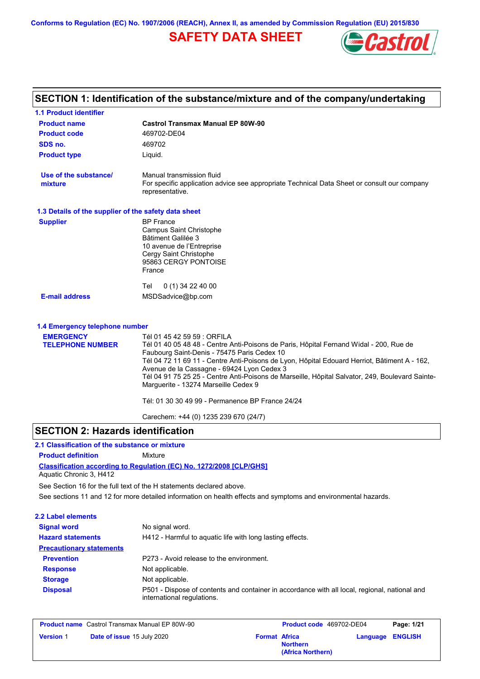# **SAFETY DATA SHEET**



#### **Castrol Transmax Manual EP 80W-90 Product name 1.1 Product identifier 1.3 Details of the supplier of the safety data sheet Product type Liquid. E-mail address** MSDSadvice@bp.com **SECTION 1: Identification of the substance/mixture and of the company/undertaking Product code 469702-DE04 1.4 Emergency telephone number EMERGENCY TELEPHONE NUMBER** Tél 01 45 42 59 59 : ORFILA Tél 01 40 05 48 48 - Centre Anti-Poisons de Paris, Hôpital Fernand Widal - 200, Rue de Faubourg Saint-Denis - 75475 Paris Cedex 10 Tél 04 72 11 69 11 - Centre Anti-Poisons de Lyon, Hôpital Edouard Herriot, Bâtiment A - 162, Avenue de la Cassagne - 69424 Lyon Cedex 3 Tél 04 91 75 25 25 - Centre Anti-Poisons de Marseille, Hôpital Salvator, 249, Boulevard Sainte-Marguerite - 13274 Marseille Cedex 9 Tél: 01 30 30 49 99 - Permanence BP France 24/24 Carechem: +44 (0) 1235 239 670 (24/7) **Supplier** BP France Campus Saint Christophe Bâtiment Galilée 3 10 avenue de l'Entreprise Cergy Saint Christophe 95863 CERGY PONTOISE France Tel 0 (1) 34 22 40 00 **SDS no.** 469702 **Use of the substance/ mixture** Manual transmission fluid For specific application advice see appropriate Technical Data Sheet or consult our company representative.

# **SECTION 2: Hazards identification**

#### **Classification according to Regulation (EC) No. 1272/2008 [CLP/GHS] 2.1 Classification of the substance or mixture Product definition** Mixture Aquatic Chronic 3, H412

See sections 11 and 12 for more detailed information on health effects and symptoms and environmental hazards. See Section 16 for the full text of the H statements declared above.

| No signal word.                                                                                                             |
|-----------------------------------------------------------------------------------------------------------------------------|
| H412 - Harmful to aquatic life with long lasting effects.                                                                   |
|                                                                                                                             |
| P273 - Avoid release to the environment.                                                                                    |
| Not applicable.                                                                                                             |
| Not applicable.                                                                                                             |
| P501 - Dispose of contents and container in accordance with all local, regional, national and<br>international regulations. |
|                                                                                                                             |

| <b>Product name</b> Castrol Transmax Manual EP 80W-90 |                                   | <b>Product code</b> 469702-DE04 |                                      | Page: 1/21              |  |
|-------------------------------------------------------|-----------------------------------|---------------------------------|--------------------------------------|-------------------------|--|
| <b>Version 1</b>                                      | <b>Date of issue 15 July 2020</b> | <b>Format Africa</b>            | <b>Northern</b><br>(Africa Northern) | <b>Language ENGLISH</b> |  |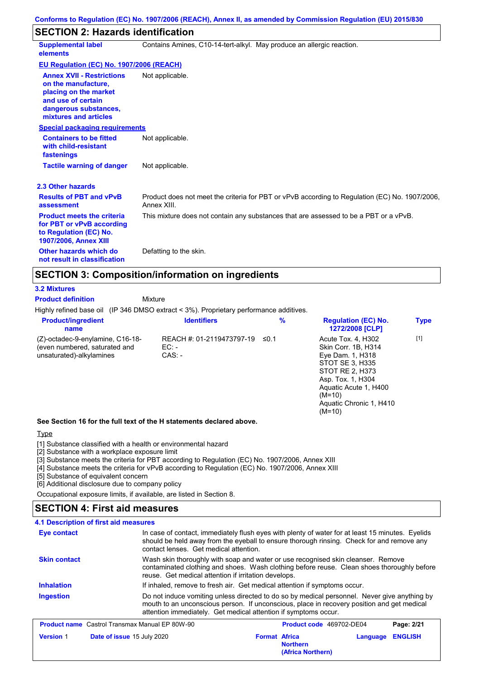# **SECTION 2: Hazards identification**

| <b>Supplemental label</b><br>elements                                                                                                                    | Contains Amines, C10-14-tert-alkyl. May produce an allergic reaction.                                         |
|----------------------------------------------------------------------------------------------------------------------------------------------------------|---------------------------------------------------------------------------------------------------------------|
| <b>EU Regulation (EC) No. 1907/2006 (REACH)</b>                                                                                                          |                                                                                                               |
| <b>Annex XVII - Restrictions</b><br>on the manufacture,<br>placing on the market<br>and use of certain<br>dangerous substances,<br>mixtures and articles | Not applicable.                                                                                               |
| <b>Special packaging requirements</b>                                                                                                                    |                                                                                                               |
| <b>Containers to be fitted</b><br>with child-resistant<br>fastenings                                                                                     | Not applicable.                                                                                               |
| <b>Tactile warning of danger</b>                                                                                                                         | Not applicable.                                                                                               |
| 2.3 Other hazards                                                                                                                                        |                                                                                                               |
| <b>Results of PBT and vPvB</b><br>assessment                                                                                                             | Product does not meet the criteria for PBT or vPvB according to Regulation (EC) No. 1907/2006,<br>Annex XIII. |
| <b>Product meets the criteria</b><br>for PBT or vPvB according<br>to Regulation (EC) No.<br>1907/2006, Annex XIII                                        | This mixture does not contain any substances that are assessed to be a PBT or a vPvB.                         |
| Other hazards which do<br>not result in classification                                                                                                   | Defatting to the skin.                                                                                        |

# **SECTION 3: Composition/information on ingredients**

**Mixture** 

#### **3.2 Mixtures**

**Product definition**

Highly refined base oil (IP 346 DMSO extract < 3%). Proprietary performance additives.

| <b>Product/ingredient</b><br>name                                                             | <b>Identifiers</b>                               | $\%$  | <b>Regulation (EC) No.</b><br>1272/2008 [CLP]                                                                                                                                                        | <b>Type</b> |  |
|-----------------------------------------------------------------------------------------------|--------------------------------------------------|-------|------------------------------------------------------------------------------------------------------------------------------------------------------------------------------------------------------|-------------|--|
| (Z)-octadec-9-enylamine, C16-18-<br>(even numbered, saturated and<br>unsaturated)-alkylamines | REACH #: 01-2119473797-19<br>$EC: -$<br>$CAS: -$ | _≤0.1 | Acute Tox. 4, H302<br>Skin Corr. 1B, H314<br>Eye Dam. 1, H318<br>STOT SE 3, H335<br>STOT RE 2, H373<br>Asp. Tox. 1, H304<br>Aguatic Acute 1, H400<br>$(M=10)$<br>Aquatic Chronic 1, H410<br>$(M=10)$ | $[1]$       |  |
| See Section 16 for the full text of the H statements declared above.                          |                                                  |       |                                                                                                                                                                                                      |             |  |

**Type** 

[1] Substance classified with a health or environmental hazard

[2] Substance with a workplace exposure limit

[3] Substance meets the criteria for PBT according to Regulation (EC) No. 1907/2006, Annex XIII

[4] Substance meets the criteria for vPvB according to Regulation (EC) No. 1907/2006, Annex XIII

[5] Substance of equivalent concern

[6] Additional disclosure due to company policy

Occupational exposure limits, if available, are listed in Section 8.

# **SECTION 4: First aid measures**

#### Do not induce vomiting unless directed to do so by medical personnel. Never give anything by mouth to an unconscious person. If unconscious, place in recovery position and get medical attention immediately. Get medical attention if symptoms occur. In case of contact, immediately flush eyes with plenty of water for at least 15 minutes. Eyelids should be held away from the eyeball to ensure thorough rinsing. Check for and remove any contact lenses. Get medical attention. **4.1 Description of first aid measures** If inhaled, remove to fresh air. Get medical attention if symptoms occur. **Ingestion Inhalation Eye contact Skin contact** Wash skin thoroughly with soap and water or use recognised skin cleanser. Remove contaminated clothing and shoes. Wash clothing before reuse. Clean shoes thoroughly before reuse. Get medical attention if irritation develops. **Product name** Castrol Transmax Manual EP 80W-90 **Product Code 469702-DE04 Page: 2/21 Version** 1 **Date of issue** 15 July 2020 **Format Africa Northern Language ENGLISH**

**(Africa Northern)**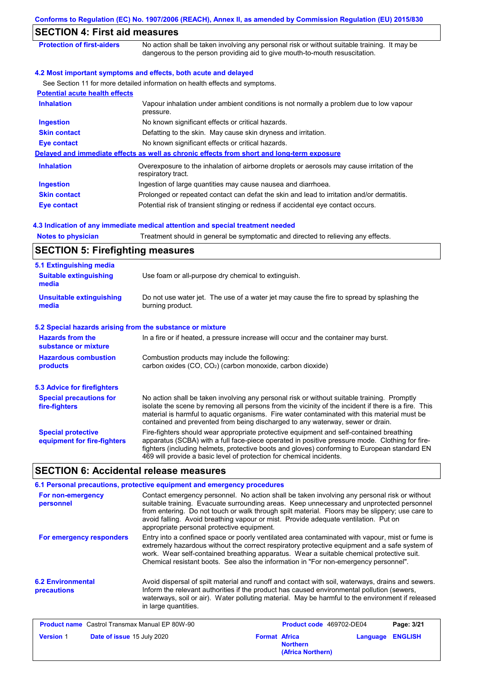| Conforms to Regulation (EC) No. 1907/2006 (REACH), Annex II, as amended by Commission Regulation (EU) 2015/830                                                              |
|-----------------------------------------------------------------------------------------------------------------------------------------------------------------------------|
| <b>SECTION 4: First aid measures</b>                                                                                                                                        |
| No action shall be taken involving any personal risk or without suitable training. It may be<br>dangerous to the person providing aid to give mouth-to-mouth resuscitation. |
| 4.2 Most important symptoms and effects, both acute and delayed                                                                                                             |
| See Section 11 for more detailed information on health effects and symptoms.                                                                                                |
|                                                                                                                                                                             |
| Vapour inhalation under ambient conditions is not normally a problem due to low vapour<br>pressure.                                                                         |
| No known significant effects or critical hazards.                                                                                                                           |
| Defatting to the skin. May cause skin dryness and irritation.                                                                                                               |
| No known significant effects or critical hazards.                                                                                                                           |
| Delayed and immediate effects as well as chronic effects from short and long-term exposure                                                                                  |
| Overexposure to the inhalation of airborne droplets or aerosols may cause irritation of the<br>respiratory tract.                                                           |
| Ingestion of large quantities may cause nausea and diarrhoea.                                                                                                               |
| Prolonged or repeated contact can defat the skin and lead to irritation and/or dermatitis.                                                                                  |
| Potential risk of transient stinging or redness if accidental eye contact occurs.                                                                                           |
|                                                                                                                                                                             |

#### **4.3 Indication of any immediate medical attention and special treatment needed**

**Notes to physician** Treatment should in general be symptomatic and directed to relieving any effects.

| <b>SECTION 5: Firefighting measures</b> |  |
|-----------------------------------------|--|
| 5.1 Extinguishing media                 |  |

| 5.1 Extinguishing media                                   |                                                                                                                                                                                                                                                                                                                                                                                       |
|-----------------------------------------------------------|---------------------------------------------------------------------------------------------------------------------------------------------------------------------------------------------------------------------------------------------------------------------------------------------------------------------------------------------------------------------------------------|
| <b>Suitable extinguishing</b><br>media                    | Use foam or all-purpose dry chemical to extinguish.                                                                                                                                                                                                                                                                                                                                   |
| <b>Unsuitable extinguishing</b><br>media                  | Do not use water jet. The use of a water jet may cause the fire to spread by splashing the<br>burning product.                                                                                                                                                                                                                                                                        |
| 5.2 Special hazards arising from the substance or mixture |                                                                                                                                                                                                                                                                                                                                                                                       |
| <b>Hazards from the</b><br>substance or mixture           | In a fire or if heated, a pressure increase will occur and the container may burst.                                                                                                                                                                                                                                                                                                   |
| <b>Hazardous combustion</b><br>products                   | Combustion products may include the following:<br>carbon oxides $(CO, CO2)$ (carbon monoxide, carbon dioxide)                                                                                                                                                                                                                                                                         |
| <b>5.3 Advice for firefighters</b>                        |                                                                                                                                                                                                                                                                                                                                                                                       |
| <b>Special precautions for</b><br>fire-fighters           | No action shall be taken involving any personal risk or without suitable training. Promptly<br>isolate the scene by removing all persons from the vicinity of the incident if there is a fire. This<br>material is harmful to aquatic organisms. Fire water contaminated with this material must be<br>contained and prevented from being discharged to any waterway, sewer or drain. |
| <b>Special protective</b><br>equipment for fire-fighters  | Fire-fighters should wear appropriate protective equipment and self-contained breathing<br>apparatus (SCBA) with a full face-piece operated in positive pressure mode. Clothing for fire-<br>fighters (including helmets, protective boots and gloves) conforming to European standard EN<br>469 will provide a basic level of protection for chemical incidents.                     |

# **SECTION 6: Accidental release measures**

|                                                       | 6.1 Personal precautions, protective equipment and emergency procedures                                                                                                                                                                                                                                                                                                                                                           |                                         |          |                |
|-------------------------------------------------------|-----------------------------------------------------------------------------------------------------------------------------------------------------------------------------------------------------------------------------------------------------------------------------------------------------------------------------------------------------------------------------------------------------------------------------------|-----------------------------------------|----------|----------------|
| For non-emergency<br>personnel                        | Contact emergency personnel. No action shall be taken involving any personal risk or without<br>suitable training. Evacuate surrounding areas. Keep unnecessary and unprotected personnel<br>from entering. Do not touch or walk through spilt material. Floors may be slippery; use care to<br>avoid falling. Avoid breathing vapour or mist. Provide adequate ventilation. Put on<br>appropriate personal protective equipment. |                                         |          |                |
| For emergency responders                              | Entry into a confined space or poorly ventilated area contaminated with vapour, mist or fume is<br>extremely hazardous without the correct respiratory protective equipment and a safe system of<br>work. Wear self-contained breathing apparatus. Wear a suitable chemical protective suit.<br>Chemical resistant boots. See also the information in "For non-emergency personnel".                                              |                                         |          |                |
| <b>6.2 Environmental</b><br><b>precautions</b>        | Avoid dispersal of spilt material and runoff and contact with soil, waterways, drains and sewers.<br>Inform the relevant authorities if the product has caused environmental pollution (sewers,<br>waterways, soil or air). Water polluting material. May be harmful to the environment if released<br>in large quantities.                                                                                                       |                                         |          |                |
| <b>Product name</b> Castrol Transmax Manual EP 80W-90 |                                                                                                                                                                                                                                                                                                                                                                                                                                   | Product code 469702-DE04                |          | Page: 3/21     |
| <b>Version 1</b><br><b>Date of issue 15 July 2020</b> |                                                                                                                                                                                                                                                                                                                                                                                                                                   | <b>Format Africa</b><br><b>Northern</b> | Language | <b>ENGLISH</b> |

**(Africa Northern)**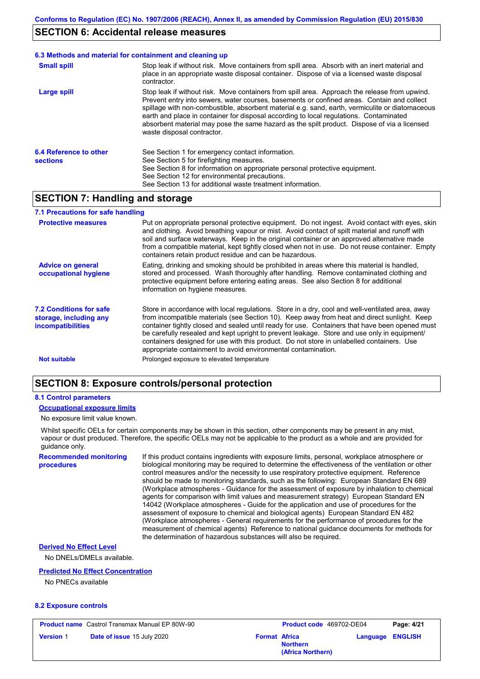### **SECTION 6: Accidental release measures**

#### **6.3 Methods and material for containment and cleaning up**

| <b>Small spill</b>                        | Stop leak if without risk. Move containers from spill area. Absorb with an inert material and<br>place in an appropriate waste disposal container. Dispose of via a licensed waste disposal<br>contractor.                                                                                                                                                                                                                                                                                                            |
|-------------------------------------------|-----------------------------------------------------------------------------------------------------------------------------------------------------------------------------------------------------------------------------------------------------------------------------------------------------------------------------------------------------------------------------------------------------------------------------------------------------------------------------------------------------------------------|
| Large spill                               | Stop leak if without risk. Move containers from spill area. Approach the release from upwind.<br>Prevent entry into sewers, water courses, basements or confined areas. Contain and collect<br>spillage with non-combustible, absorbent material e.g. sand, earth, vermiculite or diatomaceous<br>earth and place in container for disposal according to local regulations. Contaminated<br>absorbent material may pose the same hazard as the spilt product. Dispose of via a licensed<br>waste disposal contractor. |
| 6.4 Reference to other<br><b>sections</b> | See Section 1 for emergency contact information.<br>See Section 5 for firefighting measures.<br>See Section 8 for information on appropriate personal protective equipment.<br>See Section 12 for environmental precautions.<br>See Section 13 for additional waste treatment information.                                                                                                                                                                                                                            |

# **SECTION 7: Handling and storage**

#### **7.1 Precautions for safe handling**

| <b>Protective measures</b>                                                           | Put on appropriate personal protective equipment. Do not ingest. Avoid contact with eyes, skin<br>and clothing. Avoid breathing vapour or mist. Avoid contact of spilt material and runoff with<br>soil and surface waterways. Keep in the original container or an approved alternative made<br>from a compatible material, kept tightly closed when not in use. Do not reuse container. Empty<br>containers retain product residue and can be hazardous.                                                                                                    |
|--------------------------------------------------------------------------------------|---------------------------------------------------------------------------------------------------------------------------------------------------------------------------------------------------------------------------------------------------------------------------------------------------------------------------------------------------------------------------------------------------------------------------------------------------------------------------------------------------------------------------------------------------------------|
| <b>Advice on general</b><br>occupational hygiene                                     | Eating, drinking and smoking should be prohibited in areas where this material is handled,<br>stored and processed. Wash thoroughly after handling. Remove contaminated clothing and<br>protective equipment before entering eating areas. See also Section 8 for additional<br>information on hygiene measures.                                                                                                                                                                                                                                              |
| <b>7.2 Conditions for safe</b><br>storage, including any<br><b>incompatibilities</b> | Store in accordance with local regulations. Store in a dry, cool and well-ventilated area, away<br>from incompatible materials (see Section 10). Keep away from heat and direct sunlight. Keep<br>container tightly closed and sealed until ready for use. Containers that have been opened must<br>be carefully resealed and kept upright to prevent leakage. Store and use only in equipment/<br>containers designed for use with this product. Do not store in unlabelled containers. Use<br>appropriate containment to avoid environmental contamination. |
| <b>Not suitable</b>                                                                  | Prolonged exposure to elevated temperature                                                                                                                                                                                                                                                                                                                                                                                                                                                                                                                    |

# **SECTION 8: Exposure controls/personal protection**

#### **8.1 Control parameters**

#### **Occupational exposure limits**

#### No exposure limit value known.

Whilst specific OELs for certain components may be shown in this section, other components may be present in any mist, vapour or dust produced. Therefore, the specific OELs may not be applicable to the product as a whole and are provided for quidance only.

**Recommended monitoring procedures**

If this product contains ingredients with exposure limits, personal, workplace atmosphere or biological monitoring may be required to determine the effectiveness of the ventilation or other control measures and/or the necessity to use respiratory protective equipment. Reference should be made to monitoring standards, such as the following: European Standard EN 689 (Workplace atmospheres - Guidance for the assessment of exposure by inhalation to chemical agents for comparison with limit values and measurement strategy) European Standard EN 14042 (Workplace atmospheres - Guide for the application and use of procedures for the assessment of exposure to chemical and biological agents) European Standard EN 482 (Workplace atmospheres - General requirements for the performance of procedures for the measurement of chemical agents) Reference to national guidance documents for methods for the determination of hazardous substances will also be required.

#### **Derived No Effect Level**

No DNELs/DMELs available.

#### **Predicted No Effect Concentration**

No PNECs available

#### **8.2 Exposure controls**

|                  | <b>Product name</b> Castrol Transmax Manual EP 80W-90 |                      | <b>Product co</b> |
|------------------|-------------------------------------------------------|----------------------|-------------------|
| <b>Version 1</b> | <b>Date of issue 15 July 2020</b>                     | <b>Format Africa</b> |                   |

| Castrol Transmax Manual EP 80W-90 | <b>Product code</b> 469702-DE04                              | Page: 4/21              |
|-----------------------------------|--------------------------------------------------------------|-------------------------|
| <b>Date of issue 15 July 2020</b> | <b>Format Africa</b><br><b>Northern</b><br>(Africa Northern) | <b>Language ENGLISH</b> |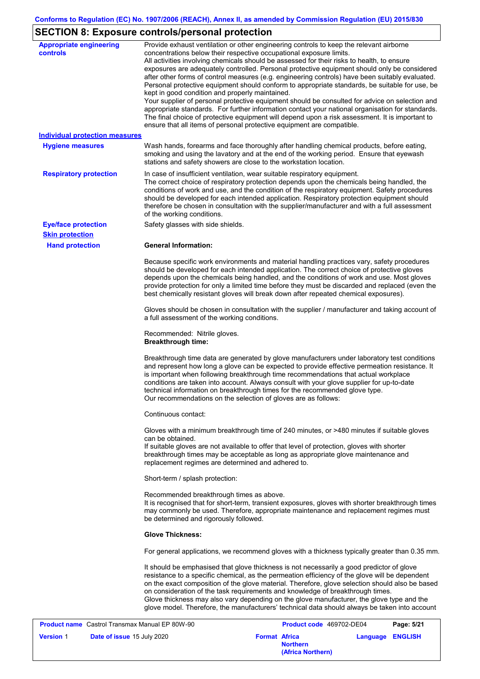# **SECTION 8: Exposure controls/personal protection**

| <b>Appropriate engineering</b><br><b>controls</b> | Provide exhaust ventilation or other engineering controls to keep the relevant airborne<br>concentrations below their respective occupational exposure limits.<br>All activities involving chemicals should be assessed for their risks to health, to ensure<br>exposures are adequately controlled. Personal protective equipment should only be considered<br>after other forms of control measures (e.g. engineering controls) have been suitably evaluated.<br>Personal protective equipment should conform to appropriate standards, be suitable for use, be<br>kept in good condition and properly maintained.<br>Your supplier of personal protective equipment should be consulted for advice on selection and<br>appropriate standards. For further information contact your national organisation for standards.<br>The final choice of protective equipment will depend upon a risk assessment. It is important to<br>ensure that all items of personal protective equipment are compatible. |            |
|---------------------------------------------------|---------------------------------------------------------------------------------------------------------------------------------------------------------------------------------------------------------------------------------------------------------------------------------------------------------------------------------------------------------------------------------------------------------------------------------------------------------------------------------------------------------------------------------------------------------------------------------------------------------------------------------------------------------------------------------------------------------------------------------------------------------------------------------------------------------------------------------------------------------------------------------------------------------------------------------------------------------------------------------------------------------|------------|
| <b>Individual protection measures</b>             |                                                                                                                                                                                                                                                                                                                                                                                                                                                                                                                                                                                                                                                                                                                                                                                                                                                                                                                                                                                                         |            |
| <b>Hygiene measures</b>                           | Wash hands, forearms and face thoroughly after handling chemical products, before eating,<br>smoking and using the lavatory and at the end of the working period. Ensure that eyewash<br>stations and safety showers are close to the workstation location.                                                                                                                                                                                                                                                                                                                                                                                                                                                                                                                                                                                                                                                                                                                                             |            |
| <b>Respiratory protection</b>                     | In case of insufficient ventilation, wear suitable respiratory equipment.<br>The correct choice of respiratory protection depends upon the chemicals being handled, the<br>conditions of work and use, and the condition of the respiratory equipment. Safety procedures<br>should be developed for each intended application. Respiratory protection equipment should<br>therefore be chosen in consultation with the supplier/manufacturer and with a full assessment<br>of the working conditions.                                                                                                                                                                                                                                                                                                                                                                                                                                                                                                   |            |
| <b>Eye/face protection</b>                        | Safety glasses with side shields.                                                                                                                                                                                                                                                                                                                                                                                                                                                                                                                                                                                                                                                                                                                                                                                                                                                                                                                                                                       |            |
| <b>Skin protection</b><br><b>Hand protection</b>  | <b>General Information:</b>                                                                                                                                                                                                                                                                                                                                                                                                                                                                                                                                                                                                                                                                                                                                                                                                                                                                                                                                                                             |            |
|                                                   | Because specific work environments and material handling practices vary, safety procedures<br>should be developed for each intended application. The correct choice of protective gloves<br>depends upon the chemicals being handled, and the conditions of work and use. Most gloves<br>provide protection for only a limited time before they must be discarded and replaced (even the<br>best chemically resistant gloves will break down after repeated chemical exposures).                                                                                                                                                                                                                                                                                                                                                                                                                                                                                                                        |            |
|                                                   | Gloves should be chosen in consultation with the supplier / manufacturer and taking account of<br>a full assessment of the working conditions.                                                                                                                                                                                                                                                                                                                                                                                                                                                                                                                                                                                                                                                                                                                                                                                                                                                          |            |
|                                                   | Recommended: Nitrile gloves.<br><b>Breakthrough time:</b>                                                                                                                                                                                                                                                                                                                                                                                                                                                                                                                                                                                                                                                                                                                                                                                                                                                                                                                                               |            |
|                                                   | Breakthrough time data are generated by glove manufacturers under laboratory test conditions<br>and represent how long a glove can be expected to provide effective permeation resistance. It<br>is important when following breakthrough time recommendations that actual workplace<br>conditions are taken into account. Always consult with your glove supplier for up-to-date<br>technical information on breakthrough times for the recommended glove type.<br>Our recommendations on the selection of gloves are as follows:                                                                                                                                                                                                                                                                                                                                                                                                                                                                      |            |
|                                                   | Continuous contact:                                                                                                                                                                                                                                                                                                                                                                                                                                                                                                                                                                                                                                                                                                                                                                                                                                                                                                                                                                                     |            |
|                                                   | Gloves with a minimum breakthrough time of 240 minutes, or >480 minutes if suitable gloves<br>can be obtained.<br>If suitable gloves are not available to offer that level of protection, gloves with shorter<br>breakthrough times may be acceptable as long as appropriate glove maintenance and<br>replacement regimes are determined and adhered to.                                                                                                                                                                                                                                                                                                                                                                                                                                                                                                                                                                                                                                                |            |
|                                                   | Short-term / splash protection:                                                                                                                                                                                                                                                                                                                                                                                                                                                                                                                                                                                                                                                                                                                                                                                                                                                                                                                                                                         |            |
|                                                   | Recommended breakthrough times as above.<br>It is recognised that for short-term, transient exposures, gloves with shorter breakthrough times<br>may commonly be used. Therefore, appropriate maintenance and replacement regimes must<br>be determined and rigorously followed.                                                                                                                                                                                                                                                                                                                                                                                                                                                                                                                                                                                                                                                                                                                        |            |
|                                                   | <b>Glove Thickness:</b>                                                                                                                                                                                                                                                                                                                                                                                                                                                                                                                                                                                                                                                                                                                                                                                                                                                                                                                                                                                 |            |
|                                                   | For general applications, we recommend gloves with a thickness typically greater than 0.35 mm.                                                                                                                                                                                                                                                                                                                                                                                                                                                                                                                                                                                                                                                                                                                                                                                                                                                                                                          |            |
|                                                   | It should be emphasised that glove thickness is not necessarily a good predictor of glove<br>resistance to a specific chemical, as the permeation efficiency of the glove will be dependent<br>on the exact composition of the glove material. Therefore, glove selection should also be based<br>on consideration of the task requirements and knowledge of breakthrough times.<br>Glove thickness may also vary depending on the glove manufacturer, the glove type and the<br>glove model. Therefore, the manufacturers' technical data should always be taken into account                                                                                                                                                                                                                                                                                                                                                                                                                          |            |
| Product name Castrol Transmax Manual EP 80W-90    | Product code 469702-DE04                                                                                                                                                                                                                                                                                                                                                                                                                                                                                                                                                                                                                                                                                                                                                                                                                                                                                                                                                                                | Page: 5/21 |

| <b>Product name</b> Castrol Transmax Manual EP 80W-90 |                      | <b>Product code</b> 469702-DE04      |                  | Page: 5/21 |
|-------------------------------------------------------|----------------------|--------------------------------------|------------------|------------|
| <b>Date of issue 15 July 2020</b><br><b>Version 1</b> | <b>Format Africa</b> | <b>Northern</b><br>(Africa Northern) | Language ENGLISH |            |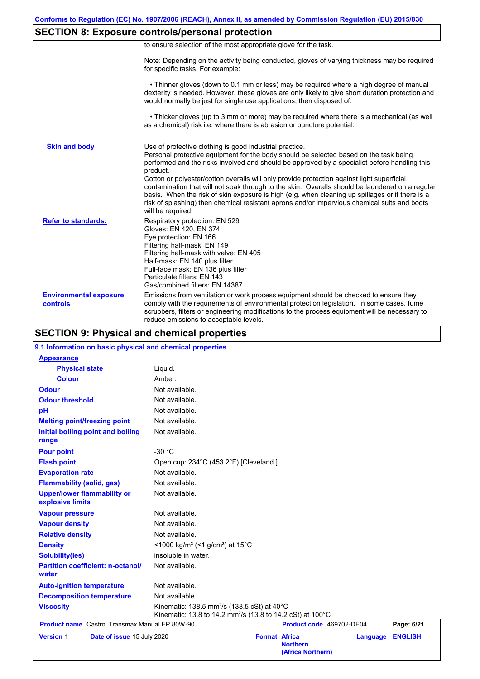# **SECTION 8: Exposure controls/personal protection**

|  | to ensure selection of the most appropriate glove for the task. |  |  |  |  |
|--|-----------------------------------------------------------------|--|--|--|--|
|  |                                                                 |  |  |  |  |

Note: Depending on the activity being conducted, gloves of varying thickness may be required for specific tasks. For example:

 • Thinner gloves (down to 0.1 mm or less) may be required where a high degree of manual dexterity is needed. However, these gloves are only likely to give short duration protection and would normally be just for single use applications, then disposed of.

 • Thicker gloves (up to 3 mm or more) may be required where there is a mechanical (as well as a chemical) risk i.e. where there is abrasion or puncture potential.

| <b>Skin and body</b>                             | Use of protective clothing is good industrial practice.<br>Personal protective equipment for the body should be selected based on the task being<br>performed and the risks involved and should be approved by a specialist before handling this<br>product.<br>Cotton or polyester/cotton overalls will only provide protection against light superficial<br>contamination that will not soak through to the skin. Overalls should be laundered on a regular<br>basis. When the risk of skin exposure is high (e.g. when cleaning up spillages or if there is a<br>risk of splashing) then chemical resistant aprons and/or impervious chemical suits and boots<br>will be required. |
|--------------------------------------------------|---------------------------------------------------------------------------------------------------------------------------------------------------------------------------------------------------------------------------------------------------------------------------------------------------------------------------------------------------------------------------------------------------------------------------------------------------------------------------------------------------------------------------------------------------------------------------------------------------------------------------------------------------------------------------------------|
| <b>Refer to standards:</b>                       | Respiratory protection: EN 529<br>Gloves: EN 420, EN 374<br>Eye protection: EN 166<br>Filtering half-mask: EN 149<br>Filtering half-mask with valve: EN 405<br>Half-mask: EN 140 plus filter<br>Full-face mask: EN 136 plus filter<br>Particulate filters: EN 143<br>Gas/combined filters: EN 14387                                                                                                                                                                                                                                                                                                                                                                                   |
| <b>Environmental exposure</b><br><b>controls</b> | Emissions from ventilation or work process equipment should be checked to ensure they<br>comply with the requirements of environmental protection legislation. In some cases, fume<br>scrubbers, filters or engineering modifications to the process equipment will be necessary to<br>reduce emissions to acceptable levels.                                                                                                                                                                                                                                                                                                                                                         |

# **SECTION 9: Physical and chemical properties**

| 9.1 Information on basic physical and chemical properties |                                                                                                                                             |                                                              |          |                |
|-----------------------------------------------------------|---------------------------------------------------------------------------------------------------------------------------------------------|--------------------------------------------------------------|----------|----------------|
| <b>Appearance</b>                                         |                                                                                                                                             |                                                              |          |                |
| <b>Physical state</b>                                     | Liquid.                                                                                                                                     |                                                              |          |                |
| <b>Colour</b>                                             | Amber.                                                                                                                                      |                                                              |          |                |
| <b>Odour</b>                                              | Not available.                                                                                                                              |                                                              |          |                |
| <b>Odour threshold</b>                                    | Not available.                                                                                                                              |                                                              |          |                |
| pH                                                        | Not available.                                                                                                                              |                                                              |          |                |
| <b>Melting point/freezing point</b>                       | Not available.                                                                                                                              |                                                              |          |                |
| Initial boiling point and boiling<br>range                | Not available.                                                                                                                              |                                                              |          |                |
| <b>Pour point</b>                                         | $-30 °C$                                                                                                                                    |                                                              |          |                |
| <b>Flash point</b>                                        | Open cup: 234°C (453.2°F) [Cleveland.]                                                                                                      |                                                              |          |                |
| <b>Evaporation rate</b>                                   | Not available.                                                                                                                              |                                                              |          |                |
| <b>Flammability (solid, gas)</b>                          | Not available.                                                                                                                              |                                                              |          |                |
| <b>Upper/lower flammability or</b><br>explosive limits    | Not available.                                                                                                                              |                                                              |          |                |
| <b>Vapour pressure</b>                                    | Not available.                                                                                                                              |                                                              |          |                |
| <b>Vapour density</b>                                     | Not available.                                                                                                                              |                                                              |          |                |
| <b>Relative density</b>                                   | Not available.                                                                                                                              |                                                              |          |                |
| <b>Density</b>                                            | <1000 kg/m <sup>3</sup> (<1 g/cm <sup>3</sup> ) at 15 <sup>°</sup> C                                                                        |                                                              |          |                |
| <b>Solubility(ies)</b>                                    | insoluble in water.                                                                                                                         |                                                              |          |                |
| <b>Partition coefficient: n-octanol/</b><br>water         | Not available.                                                                                                                              |                                                              |          |                |
| <b>Auto-ignition temperature</b>                          | Not available.                                                                                                                              |                                                              |          |                |
| <b>Decomposition temperature</b>                          | Not available.                                                                                                                              |                                                              |          |                |
| <b>Viscosity</b>                                          | Kinematic: 138.5 mm <sup>2</sup> /s (138.5 cSt) at $40^{\circ}$ C<br>Kinematic: 13.8 to 14.2 mm <sup>2</sup> /s (13.8 to 14.2 cSt) at 100°C |                                                              |          |                |
| <b>Product name</b> Castrol Transmax Manual EP 80W-90     |                                                                                                                                             | Product code 469702-DE04                                     |          | Page: 6/21     |
| <b>Version 1</b><br>Date of issue 15 July 2020            |                                                                                                                                             | <b>Format Africa</b><br><b>Northern</b><br>(Africa Northern) | Language | <b>ENGLISH</b> |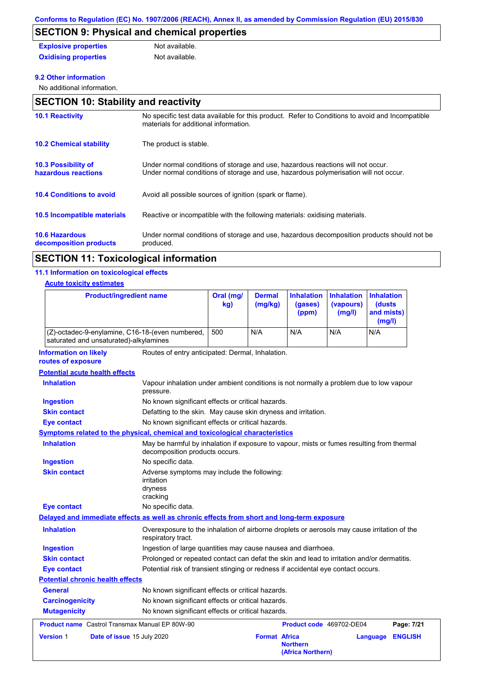# **SECTION 9: Physical and chemical properties**

| <b>Explosive properties</b> | Not available. |
|-----------------------------|----------------|
| <b>Oxidising properties</b> | Not available. |

#### **9.2 Other information**

No additional information.

| <b>SECTION 10: Stability and reactivity</b>       |                                                                                                                                                                         |  |  |  |
|---------------------------------------------------|-------------------------------------------------------------------------------------------------------------------------------------------------------------------------|--|--|--|
| <b>10.1 Reactivity</b>                            | No specific test data available for this product. Refer to Conditions to avoid and Incompatible<br>materials for additional information.                                |  |  |  |
| <b>10.2 Chemical stability</b>                    | The product is stable.                                                                                                                                                  |  |  |  |
| <b>10.3 Possibility of</b><br>hazardous reactions | Under normal conditions of storage and use, hazardous reactions will not occur.<br>Under normal conditions of storage and use, hazardous polymerisation will not occur. |  |  |  |
| <b>10.4 Conditions to avoid</b>                   | Avoid all possible sources of ignition (spark or flame).                                                                                                                |  |  |  |
| <b>10.5 Incompatible materials</b>                | Reactive or incompatible with the following materials: oxidising materials.                                                                                             |  |  |  |
| <b>10.6 Hazardous</b><br>decomposition products   | Under normal conditions of storage and use, hazardous decomposition products should not be<br>produced.                                                                 |  |  |  |

# **SECTION 11: Toxicological information**

#### **11.1 Information on toxicological effects**

#### **Acute toxicity estimates**

| <b>Product/ingredient name</b>                                                             |                                                                                                                             | Oral (mg/<br>kg) | <b>Dermal</b><br>(mg/kg) | <b>Inhalation</b><br>(gases)<br>(ppm) | <b>Inhalation</b><br>(vapours)<br>(mg/l) | <b>Inhalation</b><br><b>(dusts)</b><br>and mists)<br>(mg/l) |                |
|--------------------------------------------------------------------------------------------|-----------------------------------------------------------------------------------------------------------------------------|------------------|--------------------------|---------------------------------------|------------------------------------------|-------------------------------------------------------------|----------------|
| (Z)-octadec-9-enylamine, C16-18-(even numbered,<br>saturated and unsaturated)-alkylamines  |                                                                                                                             | 500              | N/A                      | N/A                                   | N/A                                      | N/A                                                         |                |
| <b>Information on likely</b><br>routes of exposure                                         | Routes of entry anticipated: Dermal, Inhalation.                                                                            |                  |                          |                                       |                                          |                                                             |                |
| <b>Potential acute health effects</b>                                                      |                                                                                                                             |                  |                          |                                       |                                          |                                                             |                |
| <b>Inhalation</b>                                                                          | Vapour inhalation under ambient conditions is not normally a problem due to low vapour<br>pressure.                         |                  |                          |                                       |                                          |                                                             |                |
| <b>Ingestion</b>                                                                           | No known significant effects or critical hazards.                                                                           |                  |                          |                                       |                                          |                                                             |                |
| <b>Skin contact</b>                                                                        | Defatting to the skin. May cause skin dryness and irritation.                                                               |                  |                          |                                       |                                          |                                                             |                |
| <b>Eye contact</b>                                                                         | No known significant effects or critical hazards.                                                                           |                  |                          |                                       |                                          |                                                             |                |
| Symptoms related to the physical, chemical and toxicological characteristics               |                                                                                                                             |                  |                          |                                       |                                          |                                                             |                |
| <b>Inhalation</b>                                                                          | May be harmful by inhalation if exposure to vapour, mists or fumes resulting from thermal<br>decomposition products occurs. |                  |                          |                                       |                                          |                                                             |                |
| <b>Ingestion</b>                                                                           | No specific data.                                                                                                           |                  |                          |                                       |                                          |                                                             |                |
| <b>Skin contact</b>                                                                        | Adverse symptoms may include the following:<br>irritation<br>dryness<br>cracking                                            |                  |                          |                                       |                                          |                                                             |                |
| <b>Eye contact</b>                                                                         | No specific data.                                                                                                           |                  |                          |                                       |                                          |                                                             |                |
| Delayed and immediate effects as well as chronic effects from short and long-term exposure |                                                                                                                             |                  |                          |                                       |                                          |                                                             |                |
| <b>Inhalation</b>                                                                          | Overexposure to the inhalation of airborne droplets or aerosols may cause irritation of the<br>respiratory tract.           |                  |                          |                                       |                                          |                                                             |                |
| <b>Ingestion</b>                                                                           | Ingestion of large quantities may cause nausea and diarrhoea.                                                               |                  |                          |                                       |                                          |                                                             |                |
| <b>Skin contact</b>                                                                        | Prolonged or repeated contact can defat the skin and lead to irritation and/or dermatitis.                                  |                  |                          |                                       |                                          |                                                             |                |
| <b>Eye contact</b>                                                                         | Potential risk of transient stinging or redness if accidental eye contact occurs.                                           |                  |                          |                                       |                                          |                                                             |                |
| <b>Potential chronic health effects</b>                                                    |                                                                                                                             |                  |                          |                                       |                                          |                                                             |                |
| <b>General</b>                                                                             | No known significant effects or critical hazards.                                                                           |                  |                          |                                       |                                          |                                                             |                |
| <b>Carcinogenicity</b>                                                                     | No known significant effects or critical hazards.                                                                           |                  |                          |                                       |                                          |                                                             |                |
| <b>Mutagenicity</b>                                                                        | No known significant effects or critical hazards.                                                                           |                  |                          |                                       |                                          |                                                             |                |
| <b>Product name</b> Castrol Transmax Manual EP 80W-90                                      |                                                                                                                             |                  |                          | Product code 469702-DE04              |                                          |                                                             | Page: 7/21     |
| <b>Version 1</b><br>Date of issue 15 July 2020                                             |                                                                                                                             |                  | <b>Format Africa</b>     | <b>Northern</b><br>(Africa Northern)  |                                          | Language                                                    | <b>ENGLISH</b> |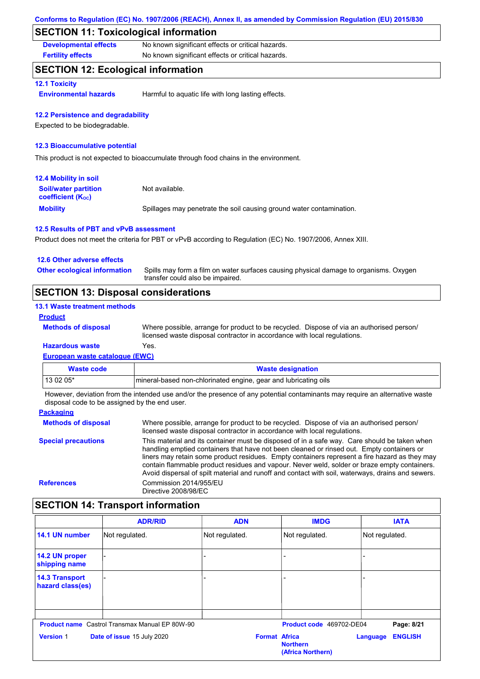### **SECTION 11: Toxicological information**

**Developmental effects** No known significant effects or critical hazards.

**Fertility effects** No known significant effects or critical hazards.

# **SECTION 12: Ecological information**

#### **12.1 Toxicity**

**Environmental hazards** Harmful to aquatic life with long lasting effects.

#### **12.2 Persistence and degradability**

Expected to be biodegradable.

#### **12.3 Bioaccumulative potential**

This product is not expected to bioaccumulate through food chains in the environment.

| <b>12.4 Mobility in soil</b>                                  |                                                                      |
|---------------------------------------------------------------|----------------------------------------------------------------------|
| <b>Soil/water partition</b><br>coefficient (K <sub>oc</sub> ) | Not available.                                                       |
| <b>Mobility</b>                                               | Spillages may penetrate the soil causing ground water contamination. |

#### **12.5 Results of PBT and vPvB assessment**

Product does not meet the criteria for PBT or vPvB according to Regulation (EC) No. 1907/2006, Annex XIII.

| <b>SECTION 13: Disposal considerations</b> |                                                                                                                           |  |
|--------------------------------------------|---------------------------------------------------------------------------------------------------------------------------|--|
| <b>Other ecological information</b>        | Spills may form a film on water surfaces causing physical damage to organisms. Oxygen<br>transfer could also be impaired. |  |
| 12.6 Other adverse effects                 |                                                                                                                           |  |

#### **13.1 Waste treatment methods Product**

**Methods of disposal**

Where possible, arrange for product to be recycled. Dispose of via an authorised person/ licensed waste disposal contractor in accordance with local regulations.

#### **European waste catalogue (EWC) Hazardous waste** Yes.

| Waste code  | <b>Waste designation</b>                                        |
|-------------|-----------------------------------------------------------------|
| l 13 02 05* | mineral-based non-chlorinated engine, gear and lubricating oils |

However, deviation from the intended use and/or the presence of any potential contaminants may require an alternative waste disposal code to be assigned by the end user.

| <b>Packaging</b>           |                                                                                                                                                                                                                                                                                                                                                                                                                                                                                                 |
|----------------------------|-------------------------------------------------------------------------------------------------------------------------------------------------------------------------------------------------------------------------------------------------------------------------------------------------------------------------------------------------------------------------------------------------------------------------------------------------------------------------------------------------|
| <b>Methods of disposal</b> | Where possible, arrange for product to be recycled. Dispose of via an authorised person/<br>licensed waste disposal contractor in accordance with local regulations.                                                                                                                                                                                                                                                                                                                            |
| <b>Special precautions</b> | This material and its container must be disposed of in a safe way. Care should be taken when<br>handling emptied containers that have not been cleaned or rinsed out. Empty containers or<br>liners may retain some product residues. Empty containers represent a fire hazard as they may<br>contain flammable product residues and vapour. Never weld, solder or braze empty containers.<br>Avoid dispersal of spilt material and runoff and contact with soil, waterways, drains and sewers. |
| <b>References</b>          | Commission 2014/955/EU<br>Directive 2008/98/EC                                                                                                                                                                                                                                                                                                                                                                                                                                                  |

# **SECTION 14: Transport information**

|                                           | <b>ADR/RID</b>                                        | <b>ADN</b>           | <b>IMDG</b>                          | <b>IATA</b>                |  |
|-------------------------------------------|-------------------------------------------------------|----------------------|--------------------------------------|----------------------------|--|
| 14.1 UN number                            | Not regulated.                                        | Not regulated.       | Not regulated.                       | Not regulated.             |  |
| 14.2 UN proper<br>shipping name           |                                                       |                      |                                      |                            |  |
| <b>14.3 Transport</b><br>hazard class(es) |                                                       |                      |                                      |                            |  |
|                                           | <b>Product name</b> Castrol Transmax Manual EP 80W-90 |                      | Product code 469702-DE04             |                            |  |
|                                           |                                                       |                      |                                      | Page: 8/21                 |  |
| <b>Version 1</b>                          | Date of issue 15 July 2020                            | <b>Format Africa</b> | <b>Northern</b><br>(Africa Northern) | <b>ENGLISH</b><br>Language |  |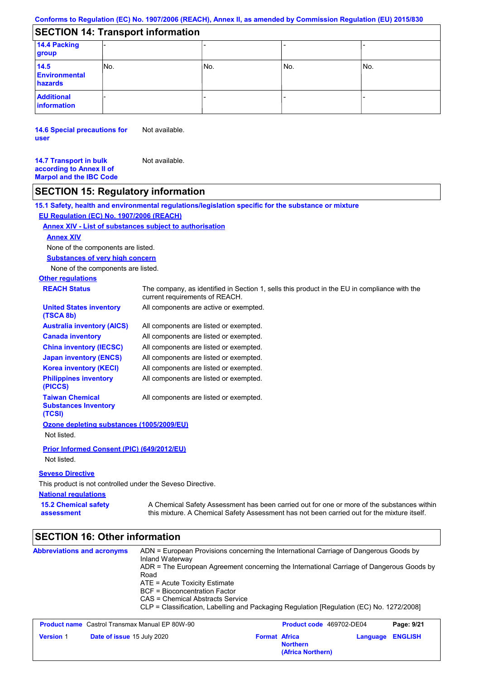# **SECTION 14: Transport information**

| 14.4 Packing<br>group                   |      |     |     |     |
|-----------------------------------------|------|-----|-----|-----|
| 14.5<br><b>Environmental</b><br>hazards | INo. | No. | No. | No. |
| <b>Additional</b><br>information        |      |     |     |     |

**14.6 Special precautions for user** Not available.

**14.7 Transport in bulk according to Annex II of Marpol and the IBC Code** Not available.

# **SECTION 15: Regulatory information**

**National regulations Other regulations REACH Status** The company, as identified in Section 1, sells this product in the EU in compliance with the current requirements of REACH. **15.1 Safety, health and environmental regulations/legislation specific for the substance or mixture EU Regulation (EC) No. 1907/2006 (REACH) Annex XIV - List of substances subject to authorisation 15.2 Chemical safety assessment Substances of very high concern** None of the components are listed. All components are listed or exempted. All components are listed or exempted. All components are listed or exempted. All components are listed or exempted. All components are active or exempted. All components are listed or exempted. All components are listed or exempted. **United States inventory (TSCA 8b) Australia inventory (AICS) Canada inventory China inventory (IECSC) Japan inventory (ENCS) Korea inventory (KECI) Philippines inventory (PICCS) Taiwan Chemical Substances Inventory (TCSI)** All components are listed or exempted. **Ozone depleting substances (1005/2009/EU)** Not listed. **Prior Informed Consent (PIC) (649/2012/EU)** Not listed. **Seveso Directive** This product is not controlled under the Seveso Directive. A Chemical Safety Assessment has been carried out for one or more of the substances within this mixture. A Chemical Safety Assessment has not been carried out for the mixture itself. None of the components are listed. **Annex XIV**

#### **SECTION 16: Other information Abbreviations and acronyms** ADN = European Provisions concerning the International Carriage of Dangerous Goods by Inland Waterway ADR = The European Agreement concerning the International Carriage of Dangerous Goods by Road ATE = Acute Toxicity Estimate BCF = Bioconcentration Factor CAS = Chemical Abstracts Service CLP = Classification, Labelling and Packaging Regulation [Regulation (EC) No. 1272/2008] **Product name** Castrol Transmax Manual EP 80W-90 **Product Code 469702-DE04 Page: 9/21 Version** 1 **Date of issue** 15 July 2020 **Format** Africa **Northern Language ENGLISH (Africa Northern)**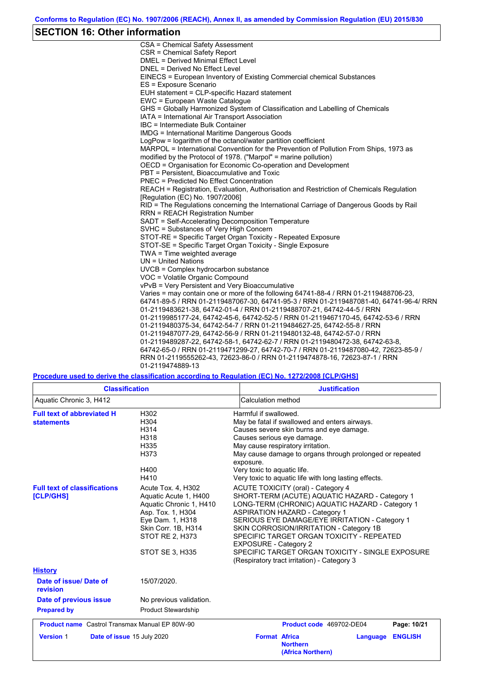### **SECTION 16: Other information**

CSA = Chemical Safety Assessment CSR = Chemical Safety Report DMEL = Derived Minimal Effect Level DNEL = Derived No Effect Level EINECS = European Inventory of Existing Commercial chemical Substances ES = Exposure Scenario EUH statement = CLP-specific Hazard statement EWC = European Waste Catalogue GHS = Globally Harmonized System of Classification and Labelling of Chemicals IATA = International Air Transport Association IBC = Intermediate Bulk Container IMDG = International Maritime Dangerous Goods LogPow = logarithm of the octanol/water partition coefficient MARPOL = International Convention for the Prevention of Pollution From Ships, 1973 as modified by the Protocol of 1978. ("Marpol" = marine pollution) OECD = Organisation for Economic Co-operation and Development PBT = Persistent, Bioaccumulative and Toxic PNEC = Predicted No Effect Concentration REACH = Registration, Evaluation, Authorisation and Restriction of Chemicals Regulation [Regulation (EC) No. 1907/2006] RID = The Regulations concerning the International Carriage of Dangerous Goods by Rail RRN = REACH Registration Number SADT = Self-Accelerating Decomposition Temperature SVHC = Substances of Very High Concern STOT-RE = Specific Target Organ Toxicity - Repeated Exposure STOT-SE = Specific Target Organ Toxicity - Single Exposure TWA = Time weighted average UN = United Nations UVCB = Complex hydrocarbon substance VOC = Volatile Organic Compound vPvB = Very Persistent and Very Bioaccumulative Varies = may contain one or more of the following 64741-88-4 / RRN 01-2119488706-23, 64741-89-5 / RRN 01-2119487067-30, 64741-95-3 / RRN 01-2119487081-40, 64741-96-4/ RRN 01-2119483621-38, 64742-01-4 / RRN 01-2119488707-21, 64742-44-5 / RRN 01-2119985177-24, 64742-45-6, 64742-52-5 / RRN 01-2119467170-45, 64742-53-6 / RRN 01-2119480375-34, 64742-54-7 / RRN 01-2119484627-25, 64742-55-8 / RRN 01-2119487077-29, 64742-56-9 / RRN 01-2119480132-48, 64742-57-0 / RRN 01-2119489287-22, 64742-58-1, 64742-62-7 / RRN 01-2119480472-38, 64742-63-8, 64742-65-0 / RRN 01-2119471299-27, 64742-70-7 / RRN 01-2119487080-42, 72623-85-9 / RRN 01-2119555262-43, 72623-86-0 / RRN 01-2119474878-16, 72623-87-1 / RRN 01-2119474889-13

#### **Procedure used to derive the classification according to Regulation (EC) No. 1272/2008 [CLP/GHS]**

| <b>Classification</b>                                  |                                                                                                                                                                                     | <b>Justification</b>                                                                                                                                                                                                                                                                                                                                                                                                                                          |
|--------------------------------------------------------|-------------------------------------------------------------------------------------------------------------------------------------------------------------------------------------|---------------------------------------------------------------------------------------------------------------------------------------------------------------------------------------------------------------------------------------------------------------------------------------------------------------------------------------------------------------------------------------------------------------------------------------------------------------|
| Aquatic Chronic 3, H412                                |                                                                                                                                                                                     | Calculation method                                                                                                                                                                                                                                                                                                                                                                                                                                            |
| <b>Full text of abbreviated H</b><br><b>statements</b> | H302<br>H304<br>H314<br>H318<br>H335<br>H373<br>H400<br>H410                                                                                                                        | Harmful if swallowed.<br>May be fatal if swallowed and enters airways.<br>Causes severe skin burns and eye damage.<br>Causes serious eye damage.<br>May cause respiratory irritation.<br>May cause damage to organs through prolonged or repeated<br>exposure.<br>Very toxic to aquatic life.<br>Very toxic to aquatic life with long lasting effects.                                                                                                        |
| <b>Full text of classifications</b><br>[CLP/GHS]       | Acute Tox. 4, H302<br>Aquatic Acute 1, H400<br>Aquatic Chronic 1, H410<br>Asp. Tox. 1, H304<br>Eye Dam. 1, H318<br>Skin Corr. 1B, H314<br>STOT RE 2, H373<br><b>STOT SE 3, H335</b> | ACUTE TOXICITY (oral) - Category 4<br>SHORT-TERM (ACUTE) AQUATIC HAZARD - Category 1<br>LONG-TERM (CHRONIC) AQUATIC HAZARD - Category 1<br><b>ASPIRATION HAZARD - Category 1</b><br>SERIOUS EYE DAMAGE/EYE IRRITATION - Category 1<br>SKIN CORROSION/IRRITATION - Category 1B<br>SPECIFIC TARGET ORGAN TOXICITY - REPEATED<br><b>EXPOSURE - Category 2</b><br>SPECIFIC TARGET ORGAN TOXICITY - SINGLE EXPOSURE<br>(Respiratory tract irritation) - Category 3 |
| <b>History</b>                                         |                                                                                                                                                                                     |                                                                                                                                                                                                                                                                                                                                                                                                                                                               |
| Date of issue/Date of<br>revision                      | 15/07/2020.                                                                                                                                                                         |                                                                                                                                                                                                                                                                                                                                                                                                                                                               |
| Date of previous issue                                 | No previous validation.                                                                                                                                                             |                                                                                                                                                                                                                                                                                                                                                                                                                                                               |
| <b>Prepared by</b>                                     | <b>Product Stewardship</b>                                                                                                                                                          |                                                                                                                                                                                                                                                                                                                                                                                                                                                               |
| <b>Product name</b> Castrol Transmax Manual EP 80W-90  |                                                                                                                                                                                     | Product code 469702-DE04<br>Page: 10/21                                                                                                                                                                                                                                                                                                                                                                                                                       |
| <b>Version 1</b>                                       | Date of issue 15 July 2020                                                                                                                                                          | <b>Format Africa</b><br><b>ENGLISH</b><br>Language<br><b>Northern</b><br>(Africa Northern)                                                                                                                                                                                                                                                                                                                                                                    |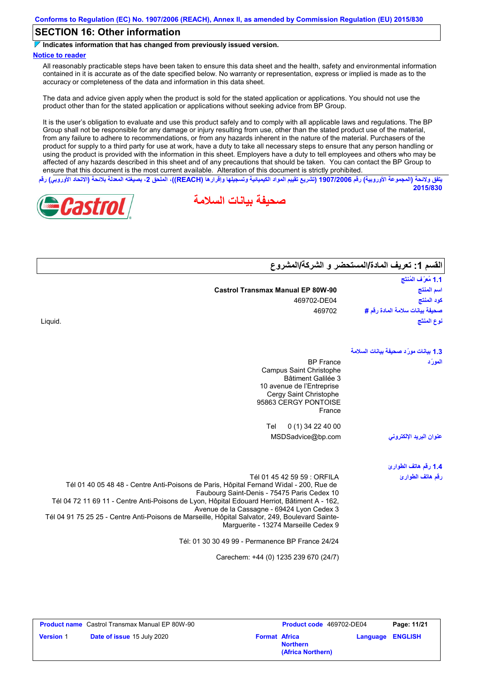# **SECTION 16: Other information**

**Indicates information that has changed from previously issued version.**

#### **Notice to reader**

All reasonably practicable steps have been taken to ensure this data sheet and the health, safety and environmental information contained in it is accurate as of the date specified below. No warranty or representation, express or implied is made as to the accuracy or completeness of the data and information in this data sheet.

The data and advice given apply when the product is sold for the stated application or applications. You should not use the product other than for the stated application or applications without seeking advice from BP Group.

It is the user's obligation to evaluate and use this product safely and to comply with all applicable laws and regulations. The BP Group shall not be responsible for any damage or injury resulting from use, other than the stated product use of the material, from any failure to adhere to recommendations, or from any hazards inherent in the nature of the material. Purchasers of the product for supply to a third party for use at work, have a duty to take all necessary steps to ensure that any person handling or using the product is provided with the information in this sheet. Employers have a duty to tell employees and others who may be affected of any hazards described in this sheet and of any precautions that should be taken. You can contact the BP Group to ensure that this document is the most current available. Alteration of this document is strictly prohibited.

يتفق ولائحة (المجموعة الأوروبية) رقم 1907/2006 (تشريع تقييم المواد الكيميائية وتسجيلها وإقرارها (REACH)، الملحق 2، بصيغته المعدلة بلائحة (الاتحاد الأوروبي) رقم **2015/830**

**صحیفة بیانات السلامة**





|                                          | القسم 1: تعريف المادة/المستحضر و الشركة/المشروع |  |
|------------------------------------------|-------------------------------------------------|--|
|                                          | 1.1 مُعرَّف المُنتَج                            |  |
| <b>Castrol Transmax Manual EP 80W-90</b> | اسم المنتج                                      |  |
| 469702-DE04                              | كود المنتج                                      |  |
| 469702                                   | صحيفة بيانات سلامة المادة رقم #                 |  |
|                                          | نوع المنتَج                                     |  |
|                                          | 1.3 بيانات مورّد صحيفة بيانات السلامة           |  |
| <b>BP</b> France                         | المورّد                                         |  |

Liquid.

| نوع المنتَج                           | uid.                                                                                                                                                                                                                                                                 |
|---------------------------------------|----------------------------------------------------------------------------------------------------------------------------------------------------------------------------------------------------------------------------------------------------------------------|
| 1.3 بيانات مورّد صحيفة بيانات السلامة |                                                                                                                                                                                                                                                                      |
| المورَد                               | <b>BP</b> France<br>Campus Saint Christophe<br><b>Bâtiment Galilée 3</b><br>10 avenue de l'Entreprise<br>Cergy Saint Christophe<br>95863 CERGY PONTOISE<br>France                                                                                                    |
|                                       | $0(1)$ 34 22 40 00<br>Tel                                                                                                                                                                                                                                            |
| عنوان البريد الإلكتروني               | MSDSadvice@bp.com                                                                                                                                                                                                                                                    |
| 1.4 رقم هاتف الطوارئ                  |                                                                                                                                                                                                                                                                      |
| رقم هاتف الطوارئ                      | Tél 01 45 42 59 59 : ORFILA<br>Tél 01 40 05 48 48 - Centre Anti-Poisons de Paris, Hôpital Fernand Widal - 200, Rue de<br>Faubourg Saint-Denis - 75475 Paris Cedex 10<br>Tél 04 72 11 69 11 - Centre Anti-Poisons de Lyon, Hôpital Edouard Herriot, Bâtiment A - 162, |

Avenue de la Cassagne - 69424 Lyon Cedex 3 Tél 04 91 75 25 25 - Centre Anti-Poisons de Marseille, Hôpital Salvator, 249, Boulevard Sainte-Marguerite - 13274 Marseille Cedex 9

Tél: 01 30 30 49 99 - Permanence BP France 24/24

Carechem: +44 (0) 1235 239 670 (24/7)

|                  | <b>Product name</b> Castrol Transmax Manual EP 80W-90 |                      | <b>Product code</b> 469702-DE04      |                         | Page: 11/21 |
|------------------|-------------------------------------------------------|----------------------|--------------------------------------|-------------------------|-------------|
| <b>Version 1</b> | <b>Date of issue 15 July 2020</b>                     | <b>Format Africa</b> | <b>Northern</b><br>(Africa Northern) | <b>Language ENGLISH</b> |             |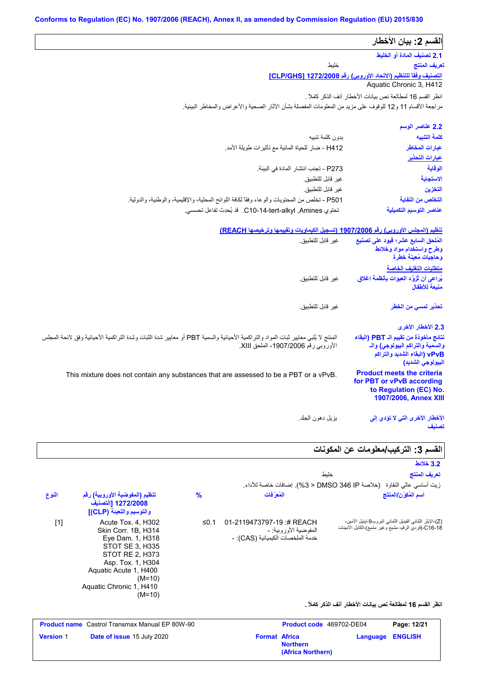| القسم 2: بيان الأخطار                                                                                     |                                                                                                                                                                            |
|-----------------------------------------------------------------------------------------------------------|----------------------------------------------------------------------------------------------------------------------------------------------------------------------------|
| 2.1 تصنيف المادة أو الخليط                                                                                |                                                                                                                                                                            |
| تعريف المنتج                                                                                              | خلبط                                                                                                                                                                       |
| التصنيف وفقاً للتنظيم (الاتحاد الأوروبي) رقم 1272/2008 [CLP/GHS]                                          |                                                                                                                                                                            |
| Aquatic Chronic 3, H412                                                                                   |                                                                                                                                                                            |
| انظر القسم 16 لمطالعة نص بيانات الأخطار آنف الذكر كاملاً .                                                |                                                                                                                                                                            |
|                                                                                                           | مراجعة الأقسام 11 و12 للوقوف على مزيد من المعلومات المفصلة بشأن الآثار الصحية والأعراض والمخاطر البيئية.                                                                   |
| 2.2 عناصر الوسم                                                                                           |                                                                                                                                                                            |
| كلمة التنبيه                                                                                              | بدون كلمة تنببه                                                                                                                                                            |
| عبارات المخاطر                                                                                            | H412 - ضار للحياة المائية مع تأثيرات طويلة الأمد.                                                                                                                          |
| عبارات التحذير                                                                                            |                                                                                                                                                                            |
| الوقاية                                                                                                   | P273 - تجنب انتشار المادة في البيئة.                                                                                                                                       |
| الاستجابة                                                                                                 | غير قابل للتطبيق.                                                                                                                                                          |
| التخزين                                                                                                   | غير قابل للتطبيق.                                                                                                                                                          |
| التخلص من النفاية                                                                                         | P501 - تخلص من المحتويات والوعاء وفقاً لكافة اللوائح المحلية، والإقليمية، والوطنية، والدولية.                                                                              |
| عناصر التوسيم التكميلية                                                                                   | تحتوى C10-14-tert-alkyl ,Amines. قد يُحدِث تفاعل تحسسى.                                                                                                                    |
| المُلحق السابع عشر؛ فيود على تصنيع<br>وطرح واستخدام مواد وخلائط<br>وحاجيات مُعينة خطرة                    | تنظيم (المجلس الأوروبي) رقم 1907/2006 (تسجيل الكيماويات وتقييمها وترخيصها REACH)<br>غير قابل للتطبيق.                                                                      |
| متطلبات التغليف الخاصة                                                                                    |                                                                                                                                                                            |
| يُراعى أن تُزوَّد العبوات بِأنظمة إغلاق<br>منيعة للأطفال                                                  | غير قابل للتطبيق.                                                                                                                                                          |
| تحذير لمسى من الخطر                                                                                       | غير قابل للتطبيق.                                                                                                                                                          |
| 2.3 الأخطار الأخرى                                                                                        |                                                                                                                                                                            |
| نتائج مأخوذة من تقييم الـ PBT (البقاء<br>والسمية والتراكم البيولوجي) والـ<br>vPvB (البقاء الشديد والتراكم | المنتج لا يُلبي معايير ثبات المواد والتراكمية الأحيائية والسمية PBT أو معايير شدة الثبات وشدة التراكمية الأحيائية وفق لانحة المجلس<br>الأوروبي رقم 1907/2006، الملحق XIII. |
| البيولوجي الشديد)                                                                                         |                                                                                                                                                                            |

یزیل دھون الجلد. **الأخطار الأخرى التي لا تؤدي إلى تصنیف**

# القسم 3: التركيب*|م*علومات عن المكونات

|       |                                                                                                                                                                                                      |               |                                                                                         | 3.2 خلائط                                                                                                        |
|-------|------------------------------------------------------------------------------------------------------------------------------------------------------------------------------------------------------|---------------|-----------------------------------------------------------------------------------------|------------------------------------------------------------------------------------------------------------------|
|       |                                                                                                                                                                                                      |               |                                                                                         | تعريف المنتج<br>خلبط                                                                                             |
|       |                                                                                                                                                                                                      |               |                                                                                         | زيت أساسي عالي النقاوة   (خلاصة DMSO 346 IP < 3%). إضافات خاصة للأداء.                                           |
| النوع | تنظيم (المفوضية الأوروبية) رقم<br>1272/2008 [التصنيف<br>والتوسيم والتعبئة (CLP)]                                                                                                                     | $\frac{9}{6}$ | المُع َفات                                                                              | اسم المُكوّن/المنتَج                                                                                             |
| $[1]$ | Acute Tox. 4, H302<br>Skin Corr. 1B, H314<br>Eye Dam. 1, H318<br>STOT SE 3, H335<br>STOT RE 2, H373<br>Asp. Tox. 1, H304<br>Aquatic Acute 1, H400<br>$(M=10)$<br>Aquatic Chronic 1, H410<br>$(M=10)$ | ≤0.1          | 01-2119473797-19:# REACH<br>المفوضية الأور وبية: -<br>خدمة الملخصات الكيميائية (CAS): - | (Z)-الإيثر الثنائي الفينيل الثماني البروم-9-اينيل الأمين،<br>C16-18-(فردي الرقم، مشبع وغير مشبع)-الكايل الأمينات |
|       |                                                                                                                                                                                                      |               |                                                                                         | انظر القسم 16 لمطالعة نص بيانات الأخطار آنف الذكر كاملأ .                                                        |

|                  | <b>Product name</b> Castrol Transmax Manual EP 80W-90 |                      | <b>Product code</b> 469702-DE04      |                         | Page: 12/21 |
|------------------|-------------------------------------------------------|----------------------|--------------------------------------|-------------------------|-------------|
| <b>Version 1</b> | <b>Date of issue 15 July 2020</b>                     | <b>Format Africa</b> | <b>Northern</b><br>(Africa Northern) | <b>Language ENGLISH</b> |             |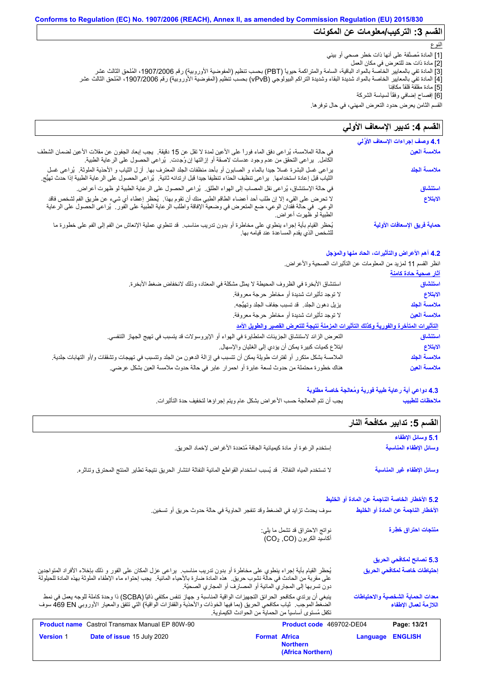# الق*سم* 3: التر كيب/معلومات عن المكونات

### النوع

- [1] المادة مُصنَّفة على أنھا ذات خطر صحي أو بیئي
- [2] مادة ذات حد للتعرض في مكان العمل
- [3] المادة تفي بالمعاییر الخاصة بالمواد الباقیة، السامة والمتراكمة حیویاً (PBT (بحسب تنظیم (المفوضیة الأوروبیة) رقم ،1907/2006 المُلحق الثالث عشر
- [4] المادة تفي بالمعاییر الخاصة بالمواد شدیدة البقاء وشدیدة التراكم البیولوجي (vPvB (بحسب تنظیم (المفوضیة الأوروبیة) رقم ،1907/2006 المُلحق الثالث عشر
	- [5] مادة مقلقة قلقاً مكافِئا
	- [6] إفصاح إضافي وفقًأ لسیاسة الشركة

القسم الثامن یعرض حدود التعرض المھني، في حال توفرھا.

#### لا تحرض على القيء إلا إن طلب أحد أعضاء الطاقم الطبي منك أن تقوم بھذا. یُحظر إعطاء أي شيء عن طریق الفم لشخص فاقد الوعي. في حالة فقدان الوعي، ضع المتعرض في وضعیة الإفاقة واطلب الرعایة الطبیة على الفور. یُراعى الحصول على الرعایة الطبیة لو ظھرت أعراض. في حالة الملامسة، یُراعى دفق الماء فوراً على الأعین لمدة لا تقل عن 15 دقیقة. یجب إبعاد الجفون عن مقلات الأعین لضمان الشطف في حالة الملامسة، يُراعى دفق الماء فورا على الأعين لمدة لا تقل عن 15 دقيقة.<br>الكامل. يراعى التحقق من عدم وجود عدسات لاصقة أو إزالتها إن وُجِدت. يُراعى الحصول على الرعاية الطبية.<br>يراعى غسل البشرة غسلا جيدا بالماء و الصابون <sub>ل</sub>ح إسساح إجستي وصف سببته السركة<br>تقسم الثامن يعرض حدود التعرض الما<br>تقسم الثامن يعرض حدود التعرض ال<mark>أ</mark>لف<br>4.1 وصف إجراءات الإسعاف الأوَّلي<br>4.1 وصف إجراءات الإسعاف الأوَّلي في حالة الإستنشاق، یُراعى نقل المصاب إلى الھواء الطلق. یُراعى الحصول على الرعایة الطبیة لو ظھرت أعراض. یُحظر القیام بأیة إجراء ینطوي على مخاطرة أو بدون تدریب مناسب. قد تنطوي عملیة الإنعاش من الفم إلى الفم على خطورة ما للشخص الذي یقدم المساعدة عند قیامھ بھا. القسم **4:** تدبير الإسعاف الأول*ي* الكامل يراعى التحقق من عدم وجود عدسات لاصقة أو اِزالتها اِن وُجدت يُراعى الحصول على الرعاية الطبية.<br>براعى غسل البشرة غسلا جيدا بالماء و الصابون أو بأحد منظفات الجلد المعترف بها. أز ل الثياب و الأحذية الملوثة. يُراعى غسل الثیاب قبل إعادة استخدامھا. یراعى تنظیف الحذاء تنظیفا جیدا قبل ارتدائھ ثانیة. یُراعى الحصول على الرعایة الطبیة إذا حدث تھیُّج. **ملامسة العین ملامسة الجلد استنشاق الابتلاع حمایة فریق الإسعافات الأولیة**

#### **4.2 أھم الأعراض والتأثیرات، الحاد منھا والمؤجل**

انظر القسم 11 لمزید من المعلومات عن التأثیرات الصحیة والأعراض.

|                                                                                                                          | استنشاق      |
|--------------------------------------------------------------------------------------------------------------------------|--------------|
| استنشاق الأبخرة في الظروف المحيطة لا يمثل مشكلة في المعتاد، وذلك لانخفاض ضغط الأبخرة.                                    |              |
| لا توجد تأثيرات شديدة أو مخاطر حرجة معروفة.                                                                              | الابتلاع     |
| يزيل دهون الجلد ٍ قد تسبب جفاف الجلد وتهيُّجه.                                                                           | ملامسة الجلد |
| لا توجد تأثيرات شديدة أو مخاطر حرجة معروفة.                                                                              | ملامسة العين |
| التأثيرات المتأخرة والفورية وكذلك التأثيرات المزمنة نتيجة للتعرض القصير والطويل الأمد                                    |              |
| النّعر ض الزائد لاستنشاق الجزيئات المتطايرة في الهواء أو الإيروسولات قد يتسبب في تهيج الجهاز التنفسي.                    | استنشاق      |
| ابتلاع كميات كبيرة يمكن أن يؤدي إلى الغثيان والإسهال.                                                                    | الابتلاع     |
| الملامسة بشكل متكرر أو لفترات طويلة يمكن أن تتسبب في إزالة الدهون من الجلد وتتسبب في تهيجات وتشققات و/أو التهابات جلدية. | ملامسة الجلد |
| هناك خطورة محتملة من حدوث لسعة عابرة أو احمرار  عابر في حالة حدوث ملامسة العين بشكل عرضي.                                | ملامسة العين |

### **4.3 دواعي أیة رعایة طبیة فوریة ومُعالجة خاصة مطلوبة**

یجب أن تتم المعالجة حسب الأعراض بشكل عام ویتم إجراؤھا لتخفیف حدة التأثیرات. **ملاحظات للطبیب**

|                                                                                                                                                                                                                                                                                                                              |                                                              |          | القسم 5: تدابير مكافحة النار                               |
|------------------------------------------------------------------------------------------------------------------------------------------------------------------------------------------------------------------------------------------------------------------------------------------------------------------------------|--------------------------------------------------------------|----------|------------------------------------------------------------|
|                                                                                                                                                                                                                                                                                                                              |                                                              |          | 5.1 وسائل الإطفاء                                          |
| إستخدم الرغوة أو مادة كيميائية الجافة مُتعددة الأغراض لإخماد الحريق.                                                                                                                                                                                                                                                         |                                                              |          | وسائل الإطفاء المناسبة                                     |
| لا تستخدم المياه النفاثة. قد يُسبب استخدام القواطع المائية النفاثة انتشار الحريق نتيجة تطاير المنتج المحترق وتناثره.                                                                                                                                                                                                         |                                                              |          | وسائل الإطفاء غير المناسبة                                 |
|                                                                                                                                                                                                                                                                                                                              |                                                              |          | 5.2 الأخطار الخاصة الناجمة عن المادة أو الخليط             |
| سوف يحدث تزايد في الضغط وقد تنفجر الحاوية في حالة حدوث حريق أو تسخين.                                                                                                                                                                                                                                                        |                                                              |          | الأخطار الناجمة عن المادة أو الخليط                        |
|                                                                                                                                                                                                                                                                                                                              | نواتج الاحتراق قد تشمل ما يلي:<br>أكاسيد الكربون (CO2, CO)   |          | منتجات احتراق خطرة                                         |
|                                                                                                                                                                                                                                                                                                                              |                                                              |          | 5.3 نصائح لمكافحي الحريق                                   |
| يُحظر القيام بأية إجراء ينطوي على مخاطرة أو بدون تدريب مناسب.  يراعى عزل المكان على الفور و ذلك بإخلاء الأفراد المتواجنين<br>على مقربة من الحادث في حالة نشوب حريق.  هذه المادة ضارة بالأحياء المائية.  يجب إحتواء ماء الإطفاء الملوثة بهذه المادة للحيلولة<br>دون تسربها إلى المجاري المائية أو المصارف أو المجاري الصحيّة. |                                                              |          | إحتياطات خاصة لمكافحي الحريق                               |
| ينبغي أن يرتدي مكافحو الحر ائق التجهيز ات الواقية المناسبة و جهاز تنفس مكتفي ذاتيًّا (SCBA) ذا وحدة كاملة للوجه يعمل في نمط<br>الضغط الموجب.  ثياب مكافحي الحريق (بما فيها الخوذات والأحذية والقفازات الواقية) التي تتفق والمعيار الأوروبي 469 EN سوف<br>تكفل مُستوى أساسياً من الحماية من الحوادث الكيماوية.                |                                                              |          | معدات الحماية الشخصية والاحتياطات<br>اللازمة لعمال الإطفاء |
| <b>Product name</b> Castrol Transmax Manual EP 80W-90                                                                                                                                                                                                                                                                        | Product code 469702-DE04                                     |          | Page: 13/21                                                |
| Date of issue 15 July 2020<br><b>Version 1</b>                                                                                                                                                                                                                                                                               | <b>Format Africa</b><br><b>Northern</b><br>(Africa Northern) | Language | <b>ENGLISH</b>                                             |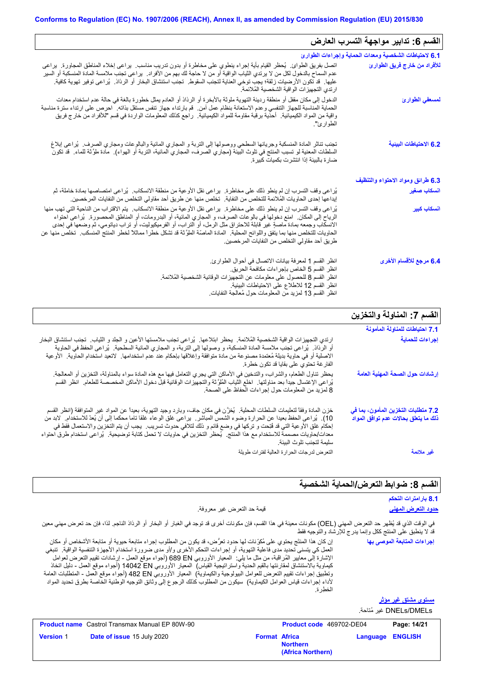| القسم 6: تدابير مواجهة التسرب العارض                  |                                                                                                                                                                                                                                                                                                                                                                                                                                                                                                                                                                   |
|-------------------------------------------------------|-------------------------------------------------------------------------------------------------------------------------------------------------------------------------------------------------------------------------------------------------------------------------------------------------------------------------------------------------------------------------------------------------------------------------------------------------------------------------------------------------------------------------------------------------------------------|
| 6.1 لاحتياطات الشخصية ومعدات الحماية وإجراءات الطوارئ |                                                                                                                                                                                                                                                                                                                                                                                                                                                                                                                                                                   |
| للأفراد من خارج فريق الطوارئ                          | اتصل بفريق الطوائ ٍ يُعظر القيام بأية إجراء ينطوي على مخاطرة أو بدون تدريب مناسب ٍ يراعى إخلاء المناطق المجاورة ٍ يراعى<br>عدم السماح بالدخول لكل من لا يرتدي الثياب الواقية أو من لا حاجة لك بهم من الأفراد.  يراعى تجنب ملامسة المادة المنسكبة أو السير<br>عليها. قد تكون الأرضيات زلقة؛ يجب توخي العناية لتجنب السقوط. تجنب استنشاق البخار أو الرذاذ. يُراعى توفير تهوية كافية.<br>ارتدى التجهيزات الواقية الشخصية الملائمة                                                                                                                                    |
| لمسعفي الطوارئ                                        | الدخول إلى مكان مقفل أو منطقة رديئة التهوية ملوثة بالأبخرة أو الرذاذ أو العادم يمثّل خطورة بالغة في حالة عدم استخدام معدات<br>الحماية المناسبة للجهاز التنفسي وعدم الاستعانة بنظام عمل أمن . قم بارتداء جهاز تنفس مستقل بذاته . احرص على ارتداء سترة مناسبة<br>واقية من المواد الكيميائية.  أحذية برقبة مقاومة للمواد الكيميائية.  راجع كذلك المعلومات الواردة في قسم "للأفراد من خارج فريق<br>الطوارئ".                                                                                                                                                          |
| 6.2 الاحتياطات البينية                                | تجنب تناثر المادة المنسكبة وجريانها السطحي ووصولها إلى التربة و المجاري المائية والبالوعات ومجاري الصرف.  يُراعى إبلاغ<br>السلطات المعنية لو تسبب المنتج في تلوث البيئة (مجاري الصرف، المجاري المائية، التربة أو الهواء).  مادة ملوّثة للماء.  قد تكون<br>ضار ة بالبيئة إذا انتشرت بكميات كبير ة                                                                                                                                                                                                                                                                  |
| 6.3 طرائق ومواد الاحتواء والتنظيف                     |                                                                                                                                                                                                                                                                                                                                                                                                                                                                                                                                                                   |
| انسكاب صغير                                           | يُراعى وقف التسرب إن لم ينطو ذلك على مخاطرة.  يراعى نقل الأوعية من منطقة الانسكاب.  يُراعى امتصاصها بمادة خاملة، ثم<br>إيداعها إحدى الحاويات المُلائمة للتخلص من النفاية.  تخلص منها عن طريق أحد مقاولي التخلص من النفايات المرخصين.                                                                                                                                                                                                                                                                                                                              |
| ا <mark>نسكاب كبير</mark>                             | يُراعي وقف التسرب إن لم ينطو ذلك على مخاطرة٬ يراعي نقل الأوعية من منطقة الانسكاب٬ يتم الاقتراب من الناحية التي تهب منها<br>الرياح إلى المكان ِ امنع دخولها في بالوعات الصرف، و المجاري المائية، أو البدرومات، أو المناطق المحصورة ِ يُراعى احتواء<br>الانسكاب وجمعه بمادة ماصةٍ غير قابلة للاحتراق مثل الرمل، أو التراب، أو الفرميكيوليت، أو تراب دياتومي، ثم وضعها في إحدى<br>الحاويات للتخلص منها بما يتفق واللوائح المحلية.  المادة الماصّة الملوَّثة قد تشكل خطراً مماثلاً لخطر المنتج المنسكب.  تخلص منها عن<br>طريق أحد مقاولي التخلص من النفايات المرخصين. |
| 6.4 مرجع للأقسام الأخرى                               | انظر القسم 1 لمعرفة بيانات الاتصال في أحوال الطوارئ.<br>انظر القسم 5 الخاص بإجر اءات مكافحة الحريق.<br>انظر القسم 8 للحصول على معلومات عن التجهيزات الوقائية الشخصية المُلائمة.<br>انظر القسم 12 للاطلاع على الاحتياطات البيئية.<br>انظر القسم 13 لمزيد من المعلومات حول مُعالجة النفايات                                                                                                                                                                                                                                                                         |

# **القسم :7 المناولة والتخزین**

|                                                                                                                                                                                                                                                                                                                                                                                                                                                                                                                                             | 7.1 احتياطات للمناولة المأمونة                                              |
|---------------------------------------------------------------------------------------------------------------------------------------------------------------------------------------------------------------------------------------------------------------------------------------------------------------------------------------------------------------------------------------------------------------------------------------------------------------------------------------------------------------------------------------------|-----------------------------------------------------------------------------|
| ارتدي التجهيزات الواقية الشخصية المُلائمة. يحظر ابتلاعها. يُراعي تجنب ملامستها الأعين و الجلد و الثياب. تجنب استنشاق البخار<br>أو الرذاذ ۖ يُراعى نجنب ملامسة المادة المنسكبة، و وصولها إلى النربة، و المجاري المائية السطحية ۖ يُراعى الحفظ في الحاوية<br>الإصلية أو في حاوية بديلة مُعتمدة مصنوعة من مادة متوافقة وإغلاقها بإحكام عند عدم استخدامها ٬ لاتعيد استخدام الحاوية٬ الأوعية<br>الفار غة تحتوي على بقايا قد تكون خطرة.                                                                                                           | إجراءات للحماية                                                             |
| يحظر تناول الطعام، والشراب، والتدخين في الأماكن التي يجري التعامل فيها مع هذه المادة سواء بالمناولة، التخزين أو المعالجة.<br>يُراعى الإغتسال جيداً بعد مناولتها ِ اخلع الثياب المُلوَّثة والتجهيزات الوقائية قبل دخول الأماكن المخصصة للطعام ِ انظر القسم<br>8 لمزيد من المعلومات حول إجراءات الحفاظ على الصحة.                                                                                                                                                                                                                             | إرشادات حول الصحة المهنية العامة                                            |
| خزن المادة وفقاً لتعليمات السلطات المحلية. ۖ يُخزَّن في مكان جاف، وبارد وجيد التهوية، بعيداً عن المواد غير المتوافقة (انظر القسم<br>10).  يُراعي الحفظ بعيدا عن الحرارة وضوء الشمس المباشر .  براعي غلق الوعاء غلقا ناما محكما إلى أن يُعدّ للاستخدام.  لابد من<br>إحكام غلق الأوعية التي قد فتِحت و تركها في وضع قائم و ذلك لتلافي حدوث تسريب ٍ يجب أن يتم التخزين والاستعمال فقط في<br>معدات/حاويات مصممة للاستخدام مع هذا المنتج ـ يُحظر التخزين في حاويات لا تحمل كتابة توضيحية ـ يُراعى استخدام طرق احتواء<br>سليمة لتجنب تلوث البيئة. | 7.2 متطلبات التخزين المأمون، بما في<br>ذلك ما يتعلق بحالات عدم توافق المواد |
| التعرض لدرجات الحرارة العالية لفترات طويلة                                                                                                                                                                                                                                                                                                                                                                                                                                                                                                  | غير ملائمة                                                                  |

# القسم 8: ضوابط التع*ر*ض/الحماية الشخصية

**Language ENGLISH**

|                                                                                                                                                                                                                                                                                                                                                                                                                                                                                                                                                                                                                                                                                                                                                                  |                                                            | 8.1 بارامترات التحكم        |
|------------------------------------------------------------------------------------------------------------------------------------------------------------------------------------------------------------------------------------------------------------------------------------------------------------------------------------------------------------------------------------------------------------------------------------------------------------------------------------------------------------------------------------------------------------------------------------------------------------------------------------------------------------------------------------------------------------------------------------------------------------------|------------------------------------------------------------|-----------------------------|
| قيمة حد التعرض غير معروفة.                                                                                                                                                                                                                                                                                                                                                                                                                                                                                                                                                                                                                                                                                                                                       |                                                            | <u>حدود التعرض المهنى</u>   |
| في الوقت الذي قد يُظهر حد التعرض المهني (OEL) مكونات معينة في هذا القسم، فإن مكونات أخرى قد توجد في الغبار أو البخار أو الرذاذ الناجم. لذا، فإن حد تعرض مهني معين                                                                                                                                                                                                                                                                                                                                                                                                                                                                                                                                                                                                | قد لا ينطبق على المنتج ككل وإنما يدرج للإرشاد والتوجيه فقط |                             |
| إن كان هذا المنتّج يحتوي على مُكرِّنات لها حدود تعرُّض، قد يكون من المطلوب إجراء متابعة حيوية أو متابعة الأشخاص أو مكان<br>العمل كي يتسنى تحديد مدى فاعلية التهوية، أو إجراءات التحكم الأخرى و/أو مدى ضرورة استخدام الأجهزة التنفسية الواقية.  تنبغي<br>الإشارة إلى معايير المُراقبة، من مثل ما يلي:  المعيار الأوروبي 680 689 (أجواء موقع العمل - إرشادات نقييع التعرض لعوامل<br>كيماوية بالاستنشاق لمقارنتها بالقيم الحدية واستراتيجية القياس)  المعيار الأوروبي 14042 DN (أجواء موقع العمل - دليل اتخاذ<br>وتطبيق إجراءات تقييم التعرض للعوامل البيولوجية والكيماوية)  المعيار الأوروبي 482 BN (أجواء موقع العمل ـ المنطلبات العامة<br>لأداء إجراءات قياس العوامل الكيماوية)  سيكون من المطلوب كذلك الرجوع إلى وثائق التوجيه الوطنية الخاصة بطرق تحديد المواد | الخطرة.                                                    | إجراءات المتابعة الموصى بها |
|                                                                                                                                                                                                                                                                                                                                                                                                                                                                                                                                                                                                                                                                                                                                                                  |                                                            | <u>مستوی مشتق غیر موثر</u>  |
|                                                                                                                                                                                                                                                                                                                                                                                                                                                                                                                                                                                                                                                                                                                                                                  |                                                            | DNELs/DMELs غير مُتاحة.     |
| <b>Product name</b> Castrol Transmax Manual EP 80W-90                                                                                                                                                                                                                                                                                                                                                                                                                                                                                                                                                                                                                                                                                                            | <b>Product code</b> 469702-DE04                            | Page: 14/21                 |

**Format Africa**<br>**Northern** 

**(Africa Northern)**

**Version** 1

**Date of issue** 15 July 2020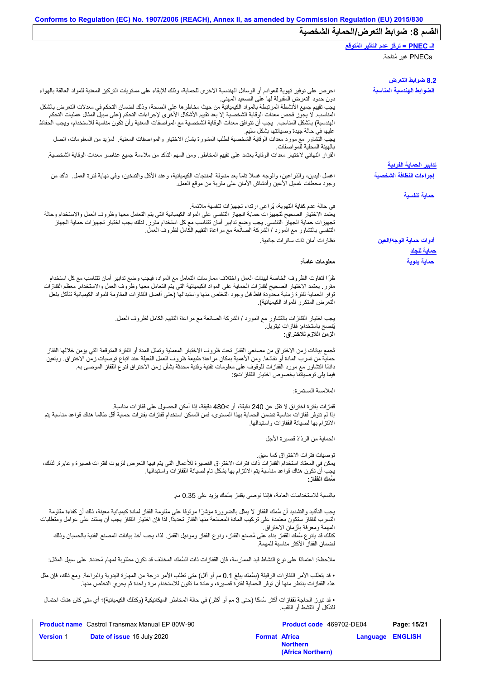|                                                                                                                                                                                                                                                                                                                                                                                                                     | الـ <u>PNEC = تركُّز عدم التأثير ال</u> مُتوفَّع |
|---------------------------------------------------------------------------------------------------------------------------------------------------------------------------------------------------------------------------------------------------------------------------------------------------------------------------------------------------------------------------------------------------------------------|--------------------------------------------------|
|                                                                                                                                                                                                                                                                                                                                                                                                                     | PNECs غير مُتاحة.                                |
|                                                                                                                                                                                                                                                                                                                                                                                                                     |                                                  |
|                                                                                                                                                                                                                                                                                                                                                                                                                     | 8.2 ضوابط التعرض                                 |
| احرص على توفير تهوية للعوادم أو الوسائل الهندسية الاخرى للحماية، وذلك للإبقاء على مستويات التركيز المعنية للمواد العالقة بالهواء                                                                                                                                                                                                                                                                                    | الضوابط الهندسية المناسبة                        |
| دون حدود التعرض المقبولة لها على الصعيد المهني.<br>يجب تقييم جميع الأنشطة المرتبطة بالمواد الكيميائية من حيث مخاطر ها على الصحة، وذلك لضمان التحكم في معدلات التعرض بالشكل<br>المناسب لا يجوز فحص معدات الوقاية الشخصية إلا بعد تقييم الأشكال الأخرى لإجراءات التحكم (على سبيل المثال عمليات التحكم                                                                                                                 |                                                  |
| الهندسية) بالشكل المذاسب. يجب أن تتوافق معدات الوقاية الشخصية مع المواصفات المعنية وأن تكون مناسبة للاستخدام، ويجب الحفاظ<br>عليها في حالة جيدة وصيانتها بشكل سليم                                                                                                                                                                                                                                                  |                                                  |
| يجب التشاور مع مورد معدات الوقاية الشخصية لطلب المشورة بشأن الاختيار والمواصفات المعنية   لمزيد من المعلومات، اتصل<br>بالهيئة المحلية للمواصفات                                                                                                                                                                                                                                                                     |                                                  |
| القرار النهائي لاختيار معدات الوقاية يعتمد على تقييم المخاطر . ومن المهم التأكد من ملاءمة جميع عناصر معدات الوقاية الشخصية.                                                                                                                                                                                                                                                                                         | <u>تدابير الحماية الفردية</u>                    |
| اغسل اليدين، والذراعين، والوجه غسلاً تاماً بعد مناولة المنتجات الكيميائية، وعند الأكل والتدخين، وفي نهاية فترة العمل ِ تأكد من                                                                                                                                                                                                                                                                                      | إجراءات النظافة الشخصية                          |
| وجود محطات غسيل الأعين وأدشاش الأمان علىى مقربة من موقع العمل                                                                                                                                                                                                                                                                                                                                                       |                                                  |
|                                                                                                                                                                                                                                                                                                                                                                                                                     | حماية تنفسية                                     |
| في حالة عدم كفاية التهوية، يُراعى ارتداء تجهيزات تنفسية ملائمة.<br>يعتمد الاختيار الصحيح لتجهيزات حماية الجهاز التنفسي على المواد الكيميائية التي يتم التعامل معها وظروف العمل والاستخدام وحالة                                                                                                                                                                                                                     |                                                  |
| تجهيزات حماية الجهاز التنفسي. يجب وضع تدابير أمان تتناسب مع كل استخدام مقرر ـ لذلك يجب اختيار تجهيزات حماية الجهاز<br>التنفسي بالتشاور مع المورد / الشركة الصانعة مع مراعاة التقييم الكامل لظروف العمل.                                                                                                                                                                                                             |                                                  |
| نظار ات أمان ذات ساتر ات جانبية.                                                                                                                                                                                                                                                                                                                                                                                    | أدوات حماية الوجه/العين                          |
|                                                                                                                                                                                                                                                                                                                                                                                                                     | <u>حماية للجلد</u>                               |
| معلومات عامة:                                                                                                                                                                                                                                                                                                                                                                                                       | حماية يدوية                                      |
| ظرًا لتفاوت الظروف الخاصة لبيئات العمل واختلاف ممارسات التعامل مع المواد، فيجب وضع تدابير أمان تتناسب مع كل استخدام<br>مقرر ٍ يعتمد الاختيار الصحيح لقفازات الحماية على المواد الكيميائية التي يتم التعامل معها وظروف العمل والاستخدام معظم القفازات<br>توفر الحماية لفترة زمنية محدودة فقط قبل وجود التخلص منها واستبدالها (حتى أفضل القفازات المقاومة للمواد الكيميائية تتآكل بفعل                                |                                                  |
| التعرض المتكرر للمواد الكيميائية)                                                                                                                                                                                                                                                                                                                                                                                   |                                                  |
| يجب اختيار القفازات بالتشاور مع المورد / الشركة الصانعة مع مراعاة التقييم الكامل لظروف العمل.<br>يُنصح باستخدام: ففاز ات نيتريل.<br>الزمن اللازم للاختراق:                                                                                                                                                                                                                                                          |                                                  |
| ثجمع بيانات زمن الاختراق من مصنعي القفاز تحت ظروف الاختبار المعملية وتمثل المدة أو الفترة المتوقعة التي يؤمن خلالها القفاز<br>حماية من تسرب المادة أو نفاذها. ومن الأهمية بمكان مراعاة طبيعة ظروف العمل الفعيلة عند اتباع توصيات زمن الاختراق. ويتعين<br>دائمًا التشاور مع مورد القفازات للوقوف على معلومات تقنية وفنية محدثة بشأن زمن الاختراق لنوع القفاز الموصىي به<br>فيما يلي توصياتنا بخصوص اختيار القفازاتs: |                                                  |
| الملامسة المستمرة:                                                                                                                                                                                                                                                                                                                                                                                                  |                                                  |
|                                                                                                                                                                                                                                                                                                                                                                                                                     |                                                  |
| قفازات بفترة اختراق لا تقل عن 240 دقيقة، أو >480 دقيقة، إذا أمكن الحصول على قفازات مناسبة.<br>إذا لم تتوفر قفازات مناسبة تضمن الحماية بهذا المستوى، فمن الممكن استخدام قفازات بفترات حماية أقل طالما هناك قواعد مناسبة يتم<br>الالتز ام بها لصيانة القفاز ات و استبدالها                                                                                                                                            |                                                  |
| الحماية من الر ذاذ قصبر ة الأجل                                                                                                                                                                                                                                                                                                                                                                                     |                                                  |
| تو صيات فتر ات الاختر اق كما سبق.<br>يمكن في المعتاد استخدام القفازات ذات فترات الاختراق القصيرة للأعمال التي يتم فيها التعرض للزيوت لفترات قصيرة وعابرة. لذلك،<br>يجب أن تكون هناك قواعد مناسبة يتم الالتزام بها بشكل تام لصيانة القفازات واستبدالها.<br>سَمك الففاز :                                                                                                                                             |                                                  |
| بالنسبة للاستخدامات العامة، فإننا نوصبي بقفاز بسُمك يزيد على 0.35 مم.                                                                                                                                                                                                                                                                                                                                               |                                                  |
| يجب التأكيد والتشديد أن سُمك القفاز لا يمثل بالضرورة مؤشرًا موثوقًا على مقاومة القفاز لمادة كيميائية معينة، ذلك أن كفاءة مقاومة                                                                                                                                                                                                                                                                                     |                                                  |
| التسرب للقفاز ستكون معتمدة على تركيب المادة المصنعة منها القفاز تحديدًا. لذا فإن اختيار القفاز يجب أن يستند على عوامل ومتطلبات<br>المهمة ومعرفة بأزمان الاختراق.                                                                                                                                                                                                                                                    |                                                  |
| كذلك قد يتنوع سُمك القفاز بناء على مُصنع القفاز ، ونوع القفاز وموديل القفاز ٍ لذا، يجب أخذ بيانات المصنع الفنية بالحسبان وذلك<br>لضمان القفاز الأكثر مناسبة للمهمة                                                                                                                                                                                                                                                  |                                                  |
| ملاحظة: اعتمادًا على نوع النشاط قيد الممارسة، فإن القفازات ذات السُمك المختلف قد تكون مطلوبة لمهام مُحددة. على سبيل المثال:                                                                                                                                                                                                                                                                                         |                                                  |
| • قد يتطلب الأمر القفازات الرقيقة (بسُمك يبلغ 0.1 مم أو أقل) متى تطلب الأمر درجة من المهارة اليدوية والبراعة. ومع ذلك، فإن مثل<br>هذه القفازات ينتظر منها أن توفر الحماية لفترة قصيرة، وعادة ما تكون للاستخدام مرة واحدة ثم يجري التخلص منها.                                                                                                                                                                       |                                                  |
| • قد تبرز الحاجة لقفازات أكثر سُمكًا (حتى 3 مم أو أكثر) في حالة المخاطر الميكانيكية (وكذلك الكيميائية)؛ أي متى كان هناك احتمال<br>للتآكل أو القشط أو الثقب.                                                                                                                                                                                                                                                         |                                                  |
|                                                                                                                                                                                                                                                                                                                                                                                                                     |                                                  |

| <b>Product name</b> Castrol Transmax Manual EP 80W-90 | <b>Product code</b> 469702-DE04                              | Page: 15/21             |
|-------------------------------------------------------|--------------------------------------------------------------|-------------------------|
| <b>Date of issue 15 July 2020</b><br><b>Version 1</b> | <b>Format Africa</b><br><b>Northern</b><br>(Africa Northern) | <b>Language ENGLISH</b> |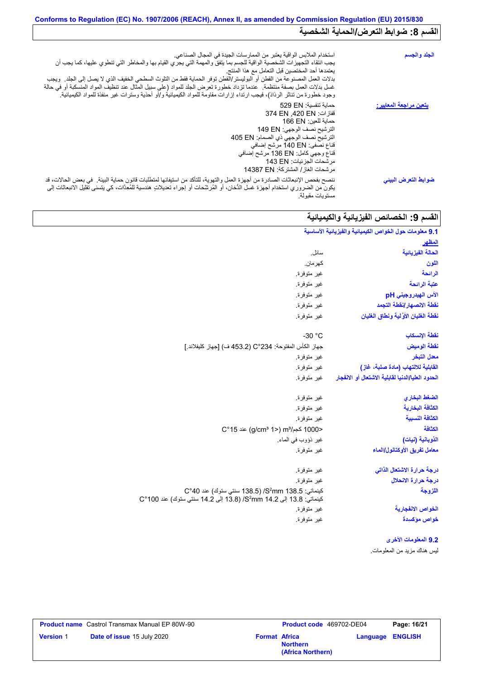# **Conforms to Regulation (EC) No. 1907/2006 (REACH), Annex II, as amended by Commission Regulation (EU) 2015/830** القسم 8: ضوابط التعرض/الحماية الشخصية

| استخدام الملابس الواقية يعتبر من الممارسات الجيدة في المجال الصناعي.<br>يجب انتقاء التجهيزات الشخصية الواقية للجسم بما يتفق والمهمة التي يجري القيام بها والمخاطر التي تنطوي عليها، كما يجب أن<br>يعتمدها أحد المختصين قبل التعامل مع هذا المنتج<br>بدلات العمل المصنوعة من القطن أو البوليستر/القطن توفر الحماية فقط من التلوث السطحي الخفيف الذي لا يصل إلى الجلد ويجب<br>غسل بدلات العمل بصفة منتظمة.  عندما تزداد خطورة تعرض الجلد للمواد (على سبيل المثال عند تنظيف المواد المنسكبة أو في حالة<br>وجود خطورة من تناثر الرذاذ)، فيجب ارتداء إزارات مقاومة للمواد الكيميائية و/أو أحذية وسترات غير منفذة للمواد الكيميائية <sub>.</sub> | الجلد والجسم                   |
|--------------------------------------------------------------------------------------------------------------------------------------------------------------------------------------------------------------------------------------------------------------------------------------------------------------------------------------------------------------------------------------------------------------------------------------------------------------------------------------------------------------------------------------------------------------------------------------------------------------------------------------------|--------------------------------|
| حماية تنفسية: 529 EN<br>قفازات: 374 EN .420 EN<br>حماية للعين: 166 EN<br>الترشيح نصف الوجهي: 149 EN<br>الترشيح نصف الوجهي ذي الصمام: 405 EN<br>قناع نصفي: 140 EN مرشح إضافي<br>قناع وجهي كامل: 136 EN مرشح إضـافي<br>مر شحات الجز ئيات: 143 EN<br>مر شحات الغاز / المشتركة: 14387 EN                                                                                                                                                                                                                                                                                                                                                       | <u>يتعين مراجعة المعايير :</u> |
| ننصح بفحص الإنبعاثات الصادرة من أجهزة العمل والتهوية، للتأكد من استيفائها لمتطلبات قانون حماية البيئة _ في بعض الحالات، قد<br>يكون من الضرور ي استخدام أجهزة غسل الدُّخان، أو المُرشِّحات أو إجراء تعديلاتٍ هندسية للمُعِدَّات، كي يتسنى تقليل الانبعاثات إلى<br>مستو يات مقبولة.                                                                                                                                                                                                                                                                                                                                                          | ضوابط التعرض البيني            |

# ا<mark>لقسم 9: الخصائص الفیزیائیة والكیمیائیة</mark>

| 9.1 معلومات حول الخواص الكيميانية والفيزيانية الأساسية                                                                                                                                                                         |                                                                                                                                       |  |  |
|--------------------------------------------------------------------------------------------------------------------------------------------------------------------------------------------------------------------------------|---------------------------------------------------------------------------------------------------------------------------------------|--|--|
| المظهر                                                                                                                                                                                                                         |                                                                                                                                       |  |  |
| الحالة الفيزيائية                                                                                                                                                                                                              | سائل.                                                                                                                                 |  |  |
| اللون                                                                                                                                                                                                                          | كهر مان.                                                                                                                              |  |  |
| الرائحة                                                                                                                                                                                                                        | غير متوفرة.                                                                                                                           |  |  |
| عتبة الرائحة                                                                                                                                                                                                                   | غير متوفرة.                                                                                                                           |  |  |
| الأس الهيدروجيني pH                                                                                                                                                                                                            | غير متوفرة.                                                                                                                           |  |  |
| نقطة الانصهار إنقطة التجمد                                                                                                                                                                                                     | غير متوفرة.                                                                                                                           |  |  |
| نقطة الغليان الأوَّلية ونطاق الغليان                                                                                                                                                                                           | غير متوفرة.                                                                                                                           |  |  |
| نقطة الإنسكاب                                                                                                                                                                                                                  | $-30 °C$                                                                                                                              |  |  |
| نقطة الوميض                                                                                                                                                                                                                    | جهاز الكأس المفتوحة: C°234 (453.2 ف) [جهاز كليفلاند.]                                                                                 |  |  |
| معدل التبخر                                                                                                                                                                                                                    | غير متوفرة.                                                                                                                           |  |  |
| القابلية للالتهاب (مادة صلبة، غاز)                                                                                                                                                                                             | غير متوفرة.                                                                                                                           |  |  |
| الحدود العليا/الدنيا لقابلية الاشتعال أو الانفجار                                                                                                                                                                              | غير متوفرة.                                                                                                                           |  |  |
| الضغط البخاري                                                                                                                                                                                                                  | غير متوفرة.                                                                                                                           |  |  |
| الكثافة البخارية                                                                                                                                                                                                               | غير متوفرة                                                                                                                            |  |  |
| الكثافة النسبية                                                                                                                                                                                                                | غير متوفرة.                                                                                                                           |  |  |
| الكثافة                                                                                                                                                                                                                        | <1000 كج/m3 (2°15) عند 15°C                                                                                                           |  |  |
| الذوبانية (نيات)                                                                                                                                                                                                               | غير ذؤوب في الماء.                                                                                                                    |  |  |
| معامل تفريق الأوكتانول/الماء                                                                                                                                                                                                   | غير متوفرة.                                                                                                                           |  |  |
| درجة حرارة الاشتعال الذاتى                                                                                                                                                                                                     | غير متوفرة.                                                                                                                           |  |  |
| درجة حرارة الانحلال                                                                                                                                                                                                            | غير متوفرة.                                                                                                                           |  |  |
| اللزوجة                                                                                                                                                                                                                        | كينماتي: S <sup>2</sup> mm 138.5/ (138.5 سنتي ستوك) عند C°40<br>كينماتي: 13.8 إلى 14.2 S2mm، 14.2 (13.8 إلى 14.2 سنتي ستوك) عند 100°C |  |  |
| الخواص الانفجارية                                                                                                                                                                                                              | غير متوفرة.                                                                                                                           |  |  |
| خواص مؤكسيدة                                                                                                                                                                                                                   | غير متوفرة.                                                                                                                           |  |  |
| where the contract of the contract of the contract of the contract of the contract of the contract of the contract of the contract of the contract of the contract of the contract of the contract of the contract of the cont |                                                                                                                                       |  |  |

#### **9.2 المعلومات الأخرى** لیس ھناك مزید من المعلومات.

|                  | <b>Product name</b> Castrol Transmax Manual EP 80W-90 |                      | <b>Product code</b> 469702-DE04      | Page: 16/21             |
|------------------|-------------------------------------------------------|----------------------|--------------------------------------|-------------------------|
| <b>Version 1</b> | <b>Date of issue 15 July 2020</b>                     | <b>Format Africa</b> | <b>Northern</b><br>(Africa Northern) | <b>Language ENGLISH</b> |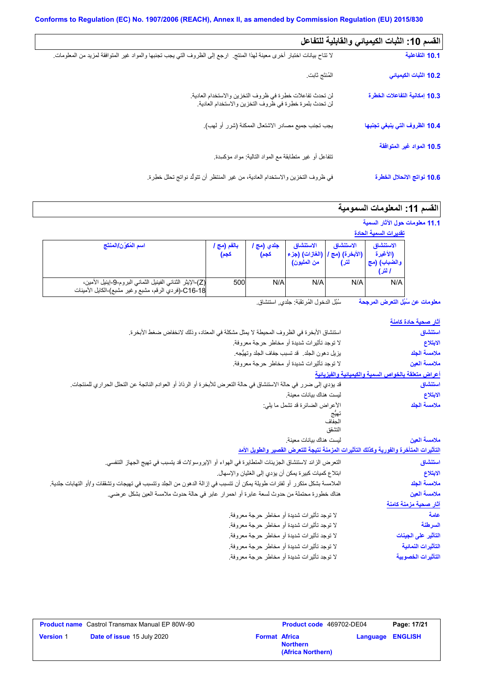| القسم 10: الثبات الكيميائي والقابلية للتفاعل |                                                                                                                           |
|----------------------------------------------|---------------------------------------------------------------------------------------------------------------------------|
| 10.1 التفاعلية                               | لا تتاح بيانات اختبار أخرى معينة لهذا المنتج   ارجع إلى الظروف التي يجب تجنبها والمواد غير المتوافقة لمزيد من المعلومات ِ |
| 10.2 الثبات الكيميائي                        | المُنتَج ثابت                                                                                                             |
| 10.3 إمكانية التفاعلات الخطرة                | لن تحدث تفاعلات خطرة في ظروف التخزين والاستخدام العادية.<br>لن تحدث بلمرة خطرة في ظروف التخزين والاستخدام العادية.        |
| 10.4 الظروف التي ينبغي تجنبها                | يجب تجنب جميع مصادر الاشتعال الممكنة (شرر أو لهب).                                                                        |
| 10.5 المواد غير المتوافقة                    |                                                                                                                           |
|                                              | نتفاعل أو غير متطابقة مع المواد التالية: مواد مؤكسدة                                                                      |
| 10.6 نواتج الانحلال الخطرة                   | في ظروف التخزين والاستخدام العادية، من غير المنتظر أن تتولَّد نواتج تحلل خطِرة.                                           |

# ال**قسم 11: المعلومات السمومية**

**11.1 معلومات حول الآثار السمیة**

|                                                                                                                   |                   |                    |                                                                |                   | تقديرات السمية الحادة                           |
|-------------------------------------------------------------------------------------------------------------------|-------------------|--------------------|----------------------------------------------------------------|-------------------|-------------------------------------------------|
| اسم المُكوّن/المنتَج                                                                                              | بالفم (مج<br>كجم) | جلدي (مج ا<br>كجم) | الاستنشاق<br>  (الأبخرة) (مج /   (الغازات) (جزء<br>من المليون) | الاستنشاق<br>لترا | الاستنشاق<br>(الأغبرة<br>والضباب) (مج<br>ا لتر) |
| (Z)-الإيثر الثنائي الفينيل الثماني البروم-9-إينيل الأمين،<br> C16-18-(فردي الرقم، مشبع وغير مشبع)-الكايل الأمينات | 500               | N/A                | N/A                                                            | N/A               | N/A                                             |

**معلومات عن سُبُل التعرض المرجحة** سُبُل الدخول المُرتقَبَة: جلدي, استنشاق<sub>.</sub>

| <u>آثار صحية حادة كام</u> نة                        |                                                                                                                          |
|-----------------------------------------------------|--------------------------------------------------------------------------------------------------------------------------|
| استنشاق                                             | استتشاق الأبخرة في الظروف المحيطة لا يمثِّل مشكلة في المعتاد، وذلك لانخفاض ضغط الأبخرة.                                  |
| الابتلاع                                            | لا توجد تأثيرات شديدة أو مخاطر حرجة معروفة.                                                                              |
| ملامسة الجلد                                        | يزيل دهون الجلد _ قد تسبب جفاف الجلد وتهيُّجه ِ                                                                          |
| ملامسة العين                                        | لا توجد تأثيرات شديدة أو مخاطر حرجة معروفة.                                                                              |
| أعراض متعلقة بالخواص السمية والكيميانية والفيزيانية |                                                                                                                          |
| استنشاق                                             | قد يؤدي إلى ضرر في حالة الاستنشاق في حالة التعرض للأبخرة أو الرذاذ أو العوادم الناتجة عن التحلل الحراري للمنتجات.        |
| الابتلاع                                            | ليست هناك بيانات معينة.                                                                                                  |
| ملامسة الجلد                                        | الأعراض الضائرة قد تشمل ما يلي:                                                                                          |
|                                                     | تهيج<br>الجفاف                                                                                                           |
|                                                     | التشقق                                                                                                                   |
| ملامسة العين                                        | ليست هناك بيانات معينة.                                                                                                  |
|                                                     | التأثيرات المتأخرة والفورية وكذلك التأثيرات المزمنة نتيجة للتعرض القصير والطويل الأمد                                    |
| استنشاق                                             | التعرض الزائد لاستنشاق الجزيئات المتطايرة في الهواء أو الإيروسولات قد يتسبب في تهيج الجهاز التنفسي.                      |
| الابتلاع                                            | ابنلاع كميات كبيرة يمكن أن يؤدي إلى الغثيان والإسهال.                                                                    |
| ملامسة الجلد                                        | الملامسة بشكل متكرر أو لفترات طويلة يمكن أن تتسبب في إزالة الدهون من الجلد وتتسبب في تهيجات وتشققات و/أو التهابات جلدية. |
| ملامسة العين                                        | هناك خطورة محتملة من حدوث لسعة عابرة أو احمر ار عابر في حالة حدوث ملامسة العين بشكل عرضي.                                |
| <u>آثار صحية مزمنة كا</u> منة                       |                                                                                                                          |
| علمة                                                | لا توجد تأثيرات شديدة أو مخاطر حرجة معروفة.                                                                              |
| السرطنة                                             | لا توجد تأثيرات شديدة أو مخاطر حرجة معروفة.                                                                              |
| التأثير على الجينات                                 | لا توجد تأثيرات شديدة أو مخاطر حرجة معروفة.                                                                              |
| التأثيرات النمائية                                  | لا توجد تأثيرات شديدة أو مخاطر حرجة معروفة.                                                                              |
| التأثيرات الخصوبية                                  | لا توجد تأثيرات شديدة أو مخاطر حرجة معروفة.                                                                              |

|                  | <b>Product name</b> Castrol Transmax Manual EP 80W-90 |                      | <b>Product code</b> 469702-DE04      |                         | Page: 17/21 |
|------------------|-------------------------------------------------------|----------------------|--------------------------------------|-------------------------|-------------|
| <b>Version 1</b> | <b>Date of issue 15 July 2020</b>                     | <b>Format Africa</b> | <b>Northern</b><br>(Africa Northern) | <b>Language ENGLISH</b> |             |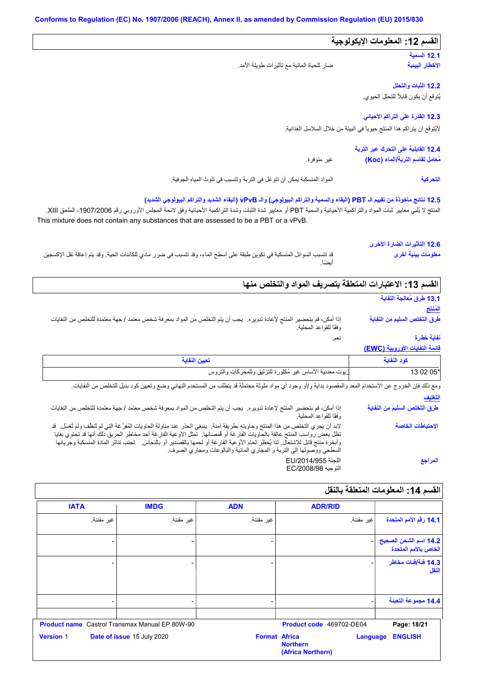### المواد المنسكبة یمكن أن تتوغل في التربة وتتسبب في تلوث المیاه الجوفیة. **12.3 القدرة على التراكم الأحیائي 12.1 السمیة 12.2 الثبات والتحلل القسم :12 المعلومات الإیكولوجیة 12.4 القابلیة على التحرك عبر التربة** غیر متوفرة. **12.5 نتائج مأخوذة من تقییم الـ PBT) البقاء والسمیة والتراكم البیولوجي) والـ vPvB) البقاء الشدید والتراكم البیولوجي الشدید)** یُتوقع أن یكون قابلاً للتحلل الحیوي. لایُتوقع أن یتراكم ھذا المنتَج حیویاً في البیئة من خلال السلاسل الغذائیة. قد تتسبب السوائل المنسكبة في تكوین طبقة على أسطح الماء، وقد تتسبب في ضرر مادي للكائنات الحیة. وقد یتم إعاقة نقل الإكسجین أیضًا. ضار للحیاة المائیة مع تأثیرات طویلة الأمد. المنتج لا يُلبي معايير ثبات المواد والتراكمية الأحيائية والسمية PBT أو معايير شدة الثبراكمية الأحيائية وفق لائحة المجلس الأوروبي رقم 1907/2006، الملحق XIII. **الأخطار البیئیة مُعامل تقاسم التربة/الماء (Koc( التحركیة 12.6 التأثیرات الضارة الأخرى معلومات بیئیة أخرى** This mixture does not contain any substances that are assessed to be a PBT or a vPvB. **قائمة النفایات الأوروبیة (EWC(** نعم. إذا أمكن، قم بتحضیر المنتج لإعادة تدویره. یجب أن یتم التخلص من المواد بمعرفة شخص معتمد / جھة معتمدة للتخلص من النفایات وفقًا للقواعد المحلیة. **القسم :13 الاعتبارات المتعلقة بتصریف المواد والتخلص منھا 13.1 طرق مُعالجة النفایة المُنتَج التغلیف كود النفایة تعیین النفایة** \*05 02 13 زیوت معدنیة الأساس غیر مُكلورة للتزلیق وللمحركات والتروس إذا أمكن، قم بتحضیر المنتج لإعادة تدویره. یجب أن یتم التخلص من المواد بمعرفة شخص معتمد / جھة معتمدة للتخلص من النفایات وفقًا للقواعد المحلیة. مقصود بداية و/أو وجود أي مواد ملوثة محتملة قد يتطلب من المستخدم النهائي وضع وتعيين كود بديل للتخلص من النفايات<br>إذا أمكن، قم بتحضير المنتج لإعادة تدويره. يجب أن يتم التخلص من المواد بمعرفة شخص معتمد / جهة معتمدة للتخلص من تظل بعض رواسب المنتج عالقة بالحاویات الفارغة أو قُمصانھا. تمثل الأوعیة الفارغة أحد مخاطر الحریق ذلك أنھا قد تحتوي بقایا وأبخرة منتج قابل للاشتعال. لذا یُحظر لحام الأوعیة الفارغة أو لحمھا بالقصدیر أو بالنحاس. تجنب تناثر المادة المنسكبة وجریانھا السطحي ووصولھا إلى التربة و المجاري المائیة والبالوعات ومجاري الصرف. ومع ذلك فإن الخروج عن الاستخدام المعد والمقصود بدایة و/أو وجود أي مواد ملوثة محتملة قد یتطلب من المستخدم النھائي وضع وتعیین كود بدیل للتخلص من النفایات. اللجنة /2014/955EU التوجیه EC/2008/98 **طرق التخلص السلیم من النفایة نفایة خطِرة طرق التخلص السلیم من النفایة الاحتیاطات الخاصة المراجع**

| القسم 14: المعلومات المتعلقة بالنقل           |                                                  |                      |                                                       |                  |
|-----------------------------------------------|--------------------------------------------------|----------------------|-------------------------------------------------------|------------------|
|                                               | <b>ADR/RID</b>                                   | <b>ADN</b>           | <b>IMDG</b>                                           | <b>IATA</b>      |
| 14.1 رقم الأمم المتحدة                        | غير مقننة.                                       | غير مقننة.           | غير مقننة.                                            | غير مقننة.       |
| 14.2 اسم الشحن الصحيح<br>الخاص بالأمم المتحدة |                                                  |                      |                                                       |                  |
| 14.3 فَنَةَ/فَنات مخاطر<br>النقل              |                                                  |                      |                                                       |                  |
| 14.4 مجموعة التعبنة                           |                                                  | -                    | $\overline{\phantom{0}}$                              |                  |
| Page: 18/21                                   | Product code 469702-DE04                         |                      | <b>Product name</b> Castrol Transmax Manual EP 80W-90 |                  |
| <b>ENGLISH</b>                                | Language<br><b>Northern</b><br>(Africa Northern) | <b>Format Africa</b> | Date of issue 15 July 2020                            | <b>Version 1</b> |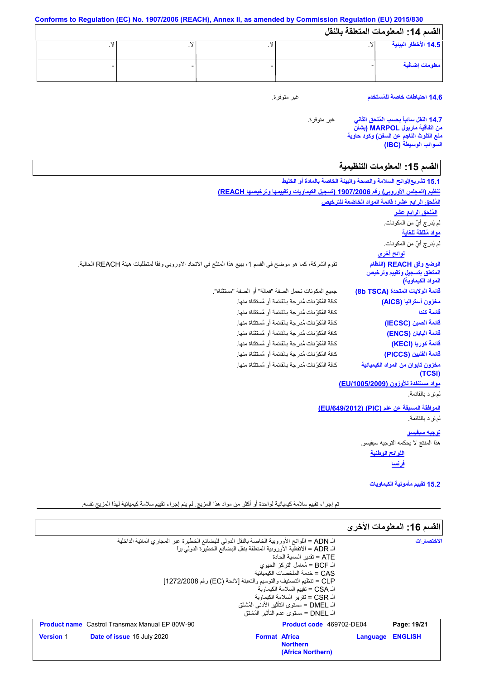| القسم 14: المعلومات المتعلقة بالنقل |  |  |
|-------------------------------------|--|--|
| 14.5 الأخطار البيئية                |  |  |
| معلومات إضافية                      |  |  |

**14.6 احتیاطات خاصة للمُستخدم**

غیر متوفرة.

غیر متوفرة. **14.7 النقل سائباً بحسب المُلحق الثاني من اتفاقیة ماربول MARPOL) بشأن منع التلوث الناجم عن السفن) وكود حاویة السوائب الوسیطة (IBC(**

# القسم 15: المعلومات التنظيمية

| 15.1 تشريع/لوائح السلامة والصحة والبيئة الخاصة بالمادة أو الخليط             |                                                                                                              |
|------------------------------------------------------------------------------|--------------------------------------------------------------------------------------------------------------|
|                                                                              | تنظيم (المجلس الأوروبي) رقم 1907/2006 (تسجيل الكيماويات وتقييمها وترخيصها REACH)                             |
| المُلحق الرابع عشر؛ قائمة المواد الخاضعة للترخيص                             |                                                                                                              |
| المُلحق الرابع عشر                                                           |                                                                                                              |
| لم يُدرِ ج أيٌّ من المكونات.                                                 |                                                                                                              |
| مواد مُقلقة للغاية                                                           |                                                                                                              |
| لم يُدرِ ج أيٌّ من المكونات.                                                 |                                                                                                              |
| <u>لوائح أخرى</u>                                                            |                                                                                                              |
| الوضع وفق REACH (النظام<br>المنعلق بتسجيل وتقييم وترخيص<br>المواد الكيماوية) | تقوم الشركة، كما هو موضح في القسم 1، ببيع هذا المنتَج في الاتحاد الأوروبي وفقًا لمنطلبات هيئة REACH الحالية. |
| قائمة الولايات المتحدة (8b TSCA)                                             | جميع المكونات تحمل الصفة "فعالة" أو الصفة "مستثناة".                                                         |
| مخزون أستراليا (AICS)                                                        | كافة المُكوِّ نات مُدرِ جة بالقائمة أو مُستثناة منها.                                                        |
| قائمة كندا                                                                   | كافة المُكوِّ نات مُدرِ جة بالقائمة أو مُستثناة منها.                                                        |
| قائمة الصين (IECSC)                                                          | كافة المُكوِّ نات مُدرِ جة بالقائمة أو مُستثناة منها.                                                        |
| فَائِمة الْيَابَان (ENCS)                                                    | كافة المُكوِّ نات مُدرِ جة بالقائمة أو مُستثناة منها.                                                        |
| قائمة كوريا (KECI)                                                           | كافة المُكوِّ نات مُدرِ جة بِالقائمة أو مُستثناة منها.                                                       |
| قائمة الفلبين (PICCS)                                                        | كافة المُكوِّ نات مُدرِ جة بالقائمة أو مُستثناة منها.                                                        |
| مخزون تايوان من المواد الكيميائية<br><b>(TCSI)</b>                           | كافة المُكوِّ نات مُدرِ جة بالقائمة أو مُستثناة منها.                                                        |
| مواد مستنفدة للأوزون (EU/1005/2009)                                          |                                                                                                              |
| لم تر د بالقائمة.                                                            |                                                                                                              |
| الموافقة المسبقة عن علم (PIC) (EU/649/2012)                                  |                                                                                                              |
| لم تر د بالقائمة.                                                            |                                                                                                              |
| <u>توجيه سيفيسو</u>                                                          |                                                                                                              |
| هذا المنتج لا يحكمه التوجيه سيفيسو .                                         |                                                                                                              |
| اللوائح الوطنية                                                              |                                                                                                              |
| <u>فرنسا</u>                                                                 |                                                                                                              |

**15.2 تقییم مأمونیة الكیماویات**

تم إجراء تقییم سلامة كیمیائیة لواحدة أو أكثر من مواد ھذا المزیج. لم یتم إجراء تقییم سلامة كیمیائیة لھذا المزیج نفسھ.

|                                                                                                                                                                          |                                                                                  |          | القسم 16: المعلومات الأخرى |
|--------------------------------------------------------------------------------------------------------------------------------------------------------------------------|----------------------------------------------------------------------------------|----------|----------------------------|
| الـ ADN = اللوائح الأوروبية الخاصة بالنقل الدولي للبضائع الخطيرة عبر المجاري المائية الداخلية<br>الـ ADR = الإتفاقية الأوروبية المتعلقة بنقل البضائع الخطير ة الدولي برا |                                                                                  |          | الاختصار ات                |
|                                                                                                                                                                          | ATE = تقدبر   السمبة الحادة<br>الـ BCF = مُعامل التركز  الحيوي                   |          |                            |
| CLP = تنظيم التصنيف والتوسيم والتعبئة [لائحة (EC) رقم 1272/2008]                                                                                                         | CAS = خدمة الملخصات الكىمىائية                                                   |          |                            |
|                                                                                                                                                                          | الـ CSA = تقبيم السلامة الكيماوية<br>الـ CSR = تقرير السلامة الكبماوية           |          |                            |
|                                                                                                                                                                          | الـ DMEL = مستوى التأثير  الأدنى المُشتَق<br>اك DNEL = مستوى عدم التأثير المُشتق |          |                            |
| <b>Product name</b> Castrol Transmax Manual EP 80W-90                                                                                                                    | <b>Product code</b> 469702-DE04                                                  |          | Page: 19/21                |
| <b>Version 1</b><br><b>Date of issue 15 July 2020</b>                                                                                                                    | <b>Format Africa</b><br><b>Northern</b><br>(Africa Northern)                     | Language | <b>ENGLISH</b>             |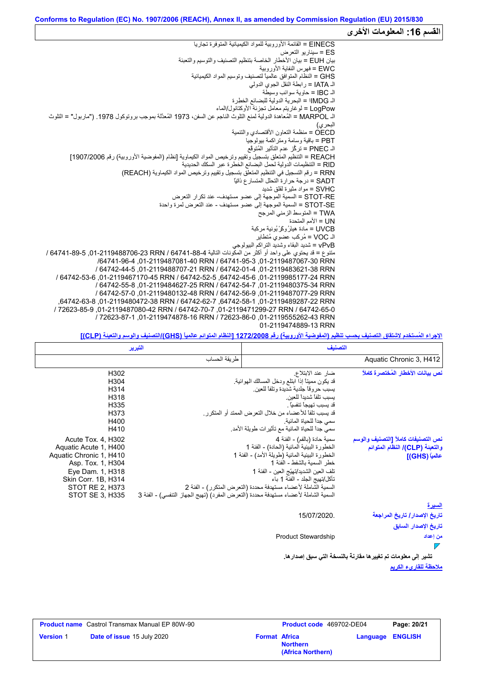#### القسم 16: المعلومات الأخر*ى* EINECS = القائمة الأوروبیة للمواد الكیمیائیة المتوفرة تجاریا ES = سیناریو التعرض بیان EUH = بیان الأخطار الخاصة بتنظیم التصنیف والتوسیم والتعبئة EWC = فھرس النفایة الأوروبیة GHS = النظام المتوافق عالمیاً لتصنیف وتوسیم المواد الكیمیائیة الـ IATA = رابطة النقل الجوي الدولي الـ IBC = حاویة سوائب وسیطة الـ IMDGا = البحریة الدولیة للبضائع الخطِرة LogPow = لوغاریتم معامل تجزئة الأوكتانول/الماء الـ MARPOL = المُعاھدة الدولیة لمنع التلوث الناجم عن السفن، 1973 المُعدَّلة بموجب بروتوكول .1978 ("ماربول" = التلوث البحري) OECD = منظمة التعاون الأقتصادي والتنمیة PBT = باقیة وسامة ومتراكمة بیولوجیا الـ PNEC = تركُّز عدم التأثیر المُتوقَّع REACH = التنظیم المتعلق بتسجیل وتقییم وترخیص المواد الكیماویة [نظام (المفوضیة الأوروبیة) رقم 1907/2006] RID = التنظیمات الدولیة لحمل البضائع الخطرة عبر السكك الحدیدیة RRN = رقم التسجیل في التنظیم المتعلق بتسجیل وتقییم وترخیص المواد الكیماویة (REACH( SADT = درجة حرارة التحلل المتسارع ذاتیاً SVHC = مواد مثیرة لقلق شدید RE-STOT = السمیة الموجھة إلى عضو مستھدف- عند تكرار التعرض SE-STOT = السمیة الموجھة إلى عضو مستھدف - عند التعرض لمرة واحدة TWA = المتوسط الزمني المرجح UN = الأمم المتحدة<br>UVCB = مادة هيئرُ وكَرْ بُونية مركبة SVHC = مواد مثيرة لقلق شديد<br>STOT-RE = السمية الموجهة إلى .<br>STOT-SE = السمية الموجهة إلى .<br>TWA = المنوسط الزمني المرجح<br>UVCB = مادة هيئرُ ركَّرٌ بُونية مركبة<br>UVCB = مادة هيئرُ ركَّرٌ بُونية مركبة<br>VOC = مُركب عضوي مُتطاير الـ VOC = مُركب عضوي مُتطایر vPvB = شدید البقاء وشدید التراكم البیولوجي متنوع = قد یحتوي على واحد أو أكثر من المكونات التالیة 64741-88-4 / RRN ,01-2119488706-23 64741-89-5 / /64741-96-4 ,01-2119487081-40 RRN / 64741-95-3 ,01-2119487067-30 RRN / 64742-44-5 ,01-2119488707-21 RRN / 64742-01-4 ,01-2119483621-38 RRN / 64742-53-6 ,01-2119467170-45 RRN / 64742-52-5 ,64742-45-6 ,01-2119985177-24 RRN / 64742-55-8 ,01-2119484627-25 RRN / 64742-54-7 ,01-2119480375-34 RRN / 64742-57-0 ,01-2119480132-48 RRN / 64742-56-9 ,01-2119487077-29 RRN ,64742-63-8 ,01-2119480472-38 RRN / 64742-62-7 ,64742-58-1 ,01-2119489287-22 RRN / 72623-85-9 ,01-2119487080-42 RRN / 64742-70-7 ,01-2119471299-27 RRN / 64742-65-0 / 72623-87-1 ,01-2119474878-16 RRN / 72623-86-0 ,01-2119555262-43 RRN

#### **الإجراء المُستخدم لاشتقاق التصنیف بحسب تنظیم (المفوضیة الأوروبیة) رقم 1272/2008 [النظام المتوائم عالمیاً (GHS(/التصنیف والوسم والتعبئة (CLP[(**

01-2119474889-13 RRN

| التصنيف                            |                                                                  | التبرير                                                                             |                         |
|------------------------------------|------------------------------------------------------------------|-------------------------------------------------------------------------------------|-------------------------|
| Aquatic Chronic 3, H412            |                                                                  | طريقة الحساب                                                                        |                         |
| نص بيانات الأخطار المُختصرة كاملاً | ضار عند الابتلاع                                                 |                                                                                     | H302                    |
|                                    | قد يكون مميناً إذا ابتلع ودخل المسالك الهوائية.                  |                                                                                     | H304                    |
|                                    | يسبب حروقا جلدية شديدة وتلفا للعين                               |                                                                                     | H314                    |
|                                    | يسبب تلفأ شديدا للعين                                            |                                                                                     | H318                    |
|                                    | قد يسبب تهيجاً تنفسياً .                                         |                                                                                     | H335                    |
|                                    | قد يسبب تلفاً للأعضاء من خلال التعرض الممتد أو المتكرر.          |                                                                                     | H373                    |
|                                    | سمى جداً للحياة المائية.                                         |                                                                                     | H400                    |
|                                    | سمي جداً للحياة المائية مع تأثيرات طويلة الأمد.                  |                                                                                     | H410                    |
| نص التصنيفات كاملأ [التصنيف والوسم | سمية حادة (بالفم) - الفئة 4                                      |                                                                                     | Acute Tox. 4, H302      |
| والتعبِنة (CLP)/ النظام المتوائم   | الخطورة البيئية المائية (الحادة) - الفئة 1                       |                                                                                     | Aquatic Acute 1, H400   |
| عالمياً (GHS)]                     | الخطورة البيئية المائية (طويلة الأمد) - الفئة 1                  |                                                                                     | Aquatic Chronic 1, H410 |
|                                    | خطر السمية بالشفط - الفئة 1                                      |                                                                                     | Asp. Tox. 1, H304       |
|                                    | تلف العين الشديد/تهيّج العين - الفئة 1                           |                                                                                     | Eye Dam. 1, H318        |
|                                    | تأكل/تهيج الجلد - الفئة 1 باء                                    |                                                                                     | Skin Corr. 1B, H314     |
|                                    | السمية الشَّاملة لأعضاء مستهدفة محددة (التعرض المتكرر) - الفئة 2 |                                                                                     | <b>STOT RE 2. H373</b>  |
|                                    |                                                                  | السمية الشاملة لأعضاء مستهدفة محددة (التعرض المفرد) (تهيج الجهاز التنفسي) - الفئة 3 | STOT SE 3, H335         |
| السيرة                             |                                                                  |                                                                                     |                         |
| تاريخ الإصدار / تاريخ المراجعة     | 15/07/2020.                                                      |                                                                                     |                         |
| تاريخ الإصدار السابق               |                                                                  |                                                                                     |                         |

#### **من إعداد**  $\overline{ }$

**ملاحظة للقاريء الكریم تشیر إلى معلومات تم تغییرھا مقارنةً بالنسخة التي سبق إصدارھا.**

|                  | <b>Product name</b> Castrol Transmax Manual EP 80W-90 |                      | <b>Product code</b> 469702-DE04      |                         | Page: 20/21 |
|------------------|-------------------------------------------------------|----------------------|--------------------------------------|-------------------------|-------------|
| <b>Version 1</b> | <b>Date of issue 15 July 2020</b>                     | <b>Format Africa</b> | <b>Northern</b><br>(Africa Northern) | <b>Language ENGLISH</b> |             |

Product Stewardship